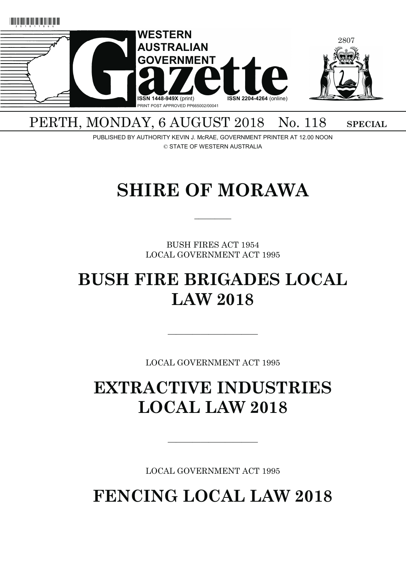

## PERTH, MONDAY, 6 AUGUST 2018 No. 118 SPECIAL

PUBLISHED BY AUTHORITY KEVIN J. McRAE, GOVERNMENT PRINTER AT 12.00 NOON © STATE OF WESTERN AUSTRALIA

# **SHIRE OF MORAWA**

 $\overline{\phantom{a}}$   $\overline{\phantom{a}}$ 

BUSH FIRES ACT 1954 LOCAL GOVERNMENT ACT 1995

## **BUSH FIRE BRIGADES LOCAL LAW 2018**

LOCAL GOVERNMENT ACT 1995

———————————

## **EXTRACTIVE INDUSTRIES LOCAL LAW 2018**

LOCAL GOVERNMENT ACT 1995

———————————

**FENCING LOCAL LAW 2018**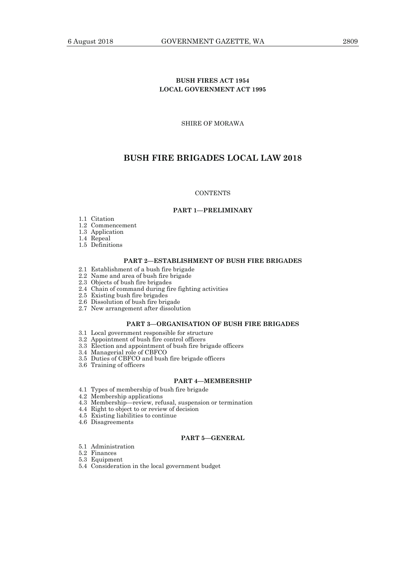## **BUSH FIRES ACT 1954 LOCAL GOVERNMENT ACT 1995**

SHIRE OF MORAWA

## **BUSH FIRE BRIGADES LOCAL LAW 2018**

## **CONTENTS**

#### **PART 1—PRELIMINARY**

- 1.1 Citation
- 1.2 Commencement
- 1.3 Application
- 1.4 Repeal
- 1.5 Definitions

#### **PART 2—ESTABLISHMENT OF BUSH FIRE BRIGADES**

- 2.1 Establishment of a bush fire brigade
- 2.2 Name and area of bush fire brigade
- 2.3 Objects of bush fire brigades
- 2.4 Chain of command during fire fighting activities
- 2.5 Existing bush fire brigades
- 2.6 Dissolution of bush fire brigade
- 2.7 New arrangement after dissolution

## **PART 3—ORGANISATION OF BUSH FIRE BRIGADES**

- 3.1 Local government responsible for structure
- 3.2 Appointment of bush fire control officers
- 3.3 Election and appointment of bush fire brigade officers
- 3.4 Managerial role of CBFCO
- 3.5 Duties of CBFCO and bush fire brigade officers
- 3.6 Training of officers

#### **PART 4—MEMBERSHIP**

- 4.1 Types of membership of bush fire brigade
- 4.2 Membership applications
- 4.3 Membership—review, refusal, suspension or termination
- 4.4 Right to object to or review of decision
- 4.5 Existing liabilities to continue
- 4.6 Disagreements

#### **PART 5—GENERAL**

- 5.1 Administration
- 5.2 Finances
- 5.3 Equipment
- 5.4 Consideration in the local government budget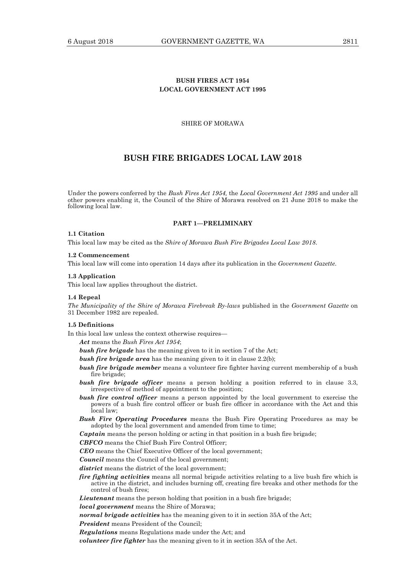## **BUSH FIRES ACT 1954 LOCAL GOVERNMENT ACT 1995**

SHIRE OF MORAWA

## **BUSH FIRE BRIGADES LOCAL LAW 2018**

Under the powers conferred by the *Bush Fires Act 1954,* the *Local Government Act 1995* and under all other powers enabling it, the Council of the Shire of Morawa resolved on 21 June 2018 to make the following local law.

#### **PART 1—PRELIMINARY**

#### **1.1 Citation**

This local law may be cited as the *Shire of Morawa Bush Fire Brigades Local Law 2018*.

#### **1.2 Commencement**

This local law will come into operation 14 days after its publication in the *Government Gazette*.

#### **1.3 Application**

This local law applies throughout the district.

#### **1.4 Repeal**

*The Municipality of the Shire of Morawa Firebreak By-laws* published in the *Government Gazette* on 31 December 1982 are repealed.

## **1.5 Definitions**

In this local law unless the context otherwise requires—

*Act* means the *Bush Fires Act 1954*;

- *bush fire brigade* has the meaning given to it in section 7 of the Act;
- *bush fire brigade area* has the meaning given to it in clause 2.2(b);
- **bush fire brigade member** means a volunteer fire fighter having current membership of a bush fire brigade;
- *bush fire brigade officer* means a person holding a position referred to in clause 3.3, irrespective of method of appointment to the position;
- **bush fire control officer** means a person appointed by the local government to exercise the powers of a bush fire control officer or bush fire officer in accordance with the Act and this local law;
- *Bush Fire Operating Procedures* means the Bush Fire Operating Procedures as may be adopted by the local government and amended from time to time;

*Captain* means the person holding or acting in that position in a bush fire brigade;

*CBFCO* means the Chief Bush Fire Control Officer;

*CEO* means the Chief Executive Officer of the local government;

*Council* means the Council of the local government;

*district* means the district of the local government;

*fire fighting activities* means all normal brigade activities relating to a live bush fire which is active in the district, and includes burning off, creating fire breaks and other methods for the control of bush fires;

*Lieutenant* means the person holding that position in a bush fire brigade;

*local government* means the Shire of Morawa;

*normal brigade activities* has the meaning given to it in section 35A of the Act;

*President* means President of the Council;

*Regulations* means Regulations made under the Act; and

*volunteer fire fighter* has the meaning given to it in section 35A of the Act.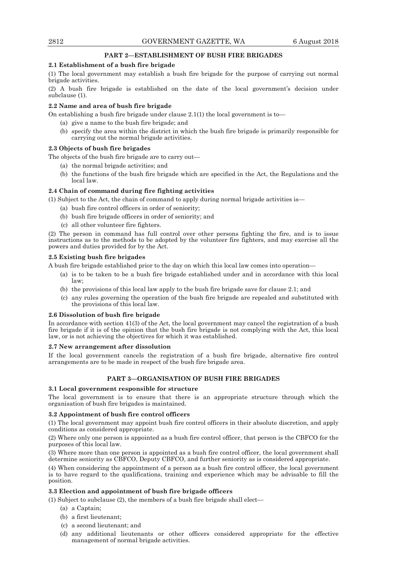## **PART 2—ESTABLISHMENT OF BUSH FIRE BRIGADES**

## **2.1 Establishment of a bush fire brigade**

(1) The local government may establish a bush fire brigade for the purpose of carrying out normal brigade activities.

(2) A bush fire brigade is established on the date of the local government's decision under subclause (1).

#### **2.2 Name and area of bush fire brigade**

On establishing a bush fire brigade under clause  $2.1(1)$  the local government is to-

- (a) give a name to the bush fire brigade; and
- (b) specify the area within the district in which the bush fire brigade is primarily responsible for carrying out the normal brigade activities.

#### **2.3 Objects of bush fire brigades**

The objects of the bush fire brigade are to carry out—

- (a) the normal brigade activities; and
- (b) the functions of the bush fire brigade which are specified in the Act, the Regulations and the local law.

## **2.4 Chain of command during fire fighting activities**

- (1) Subject to the Act, the chain of command to apply during normal brigade activities is—
	- (a) bush fire control officers in order of seniority;
	- (b) bush fire brigade officers in order of seniority; and
	- (c) all other volunteer fire fighters.

(2) The person in command has full control over other persons fighting the fire, and is to issue instructions as to the methods to be adopted by the volunteer fire fighters, and may exercise all the powers and duties provided for by the Act.

## **2.5 Existing bush fire brigades**

A bush fire brigade established prior to the day on which this local law comes into operation—

- (a) is to be taken to be a bush fire brigade established under and in accordance with this local law;
- (b) the provisions of this local law apply to the bush fire brigade save for clause 2.1; and
- (c) any rules governing the operation of the bush fire brigade are repealed and substituted with the provisions of this local law.

#### **2.6 Dissolution of bush fire brigade**

In accordance with section 41(3) of the Act, the local government may cancel the registration of a bush fire brigade if it is of the opinion that the bush fire brigade is not complying with the Act, this local law, or is not achieving the objectives for which it was established.

#### **2.7 New arrangement after dissolution**

If the local government cancels the registration of a bush fire brigade, alternative fire control arrangements are to be made in respect of the bush fire brigade area.

## **PART 3—ORGANISATION OF BUSH FIRE BRIGADES**

#### **3.1 Local government responsible for structure**

The local government is to ensure that there is an appropriate structure through which the organisation of bush fire brigades is maintained.

#### **3.2 Appointment of bush fire control officers**

(1) The local government may appoint bush fire control officers in their absolute discretion, and apply conditions as considered appropriate.

(2) Where only one person is appointed as a bush fire control officer, that person is the CBFCO for the purposes of this local law.

(3) Where more than one person is appointed as a bush fire control officer, the local government shall determine seniority as CBFCO, Deputy CBFCO, and further seniority as is considered appropriate.

(4) When considering the appointment of a person as a bush fire control officer, the local government is to have regard to the qualifications, training and experience which may be advisable to fill the position.

## **3.3 Election and appointment of bush fire brigade officers**

(1) Subject to subclause (2), the members of a bush fire brigade shall elect—

- (a) a Captain;
- (b) a first lieutenant;
- (c) a second lieutenant; and
- (d) any additional lieutenants or other officers considered appropriate for the effective management of normal brigade activities.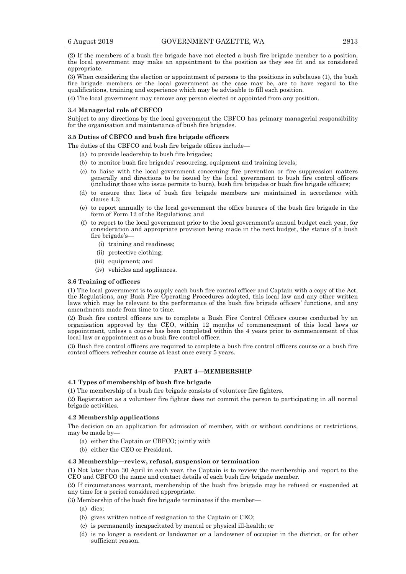(2) If the members of a bush fire brigade have not elected a bush fire brigade member to a position, the local government may make an appointment to the position as they see fit and as considered appropriate.

(3) When considering the election or appointment of persons to the positions in subclause (1), the bush fire brigade members or the local government as the case may be, are to have regard to the qualifications, training and experience which may be advisable to fill each position.

(4) The local government may remove any person elected or appointed from any position.

#### **3.4 Managerial role of CBFCO**

Subject to any directions by the local government the CBFCO has primary managerial responsibility for the organisation and maintenance of bush fire brigades.

#### **3.5 Duties of CBFCO and bush fire brigade officers**

The duties of the CBFCO and bush fire brigade offices include—

- (a) to provide leadership to bush fire brigades;
- (b) to monitor bush fire brigades' resourcing, equipment and training levels;
- (c) to liaise with the local government concerning fire prevention or fire suppression matters generally and directions to be issued by the local government to bush fire control officers (including those who issue permits to burn), bush fire brigades or bush fire brigade officers;
- (d) to ensure that lists of bush fire brigade members are maintained in accordance with clause 4.3;
- (e) to report annually to the local government the office bearers of the bush fire brigade in the form of Form 12 of the Regulations; and
- (f) to report to the local government prior to the local government's annual budget each year, for consideration and appropriate provision being made in the next budget, the status of a bush fire brigade's—
	- (i) training and readiness;
	- (ii) protective clothing;
	- (iii) equipment; and
	- (iv) vehicles and appliances.

#### **3.6 Training of officers**

(1) The local government is to supply each bush fire control officer and Captain with a copy of the Act, the Regulations, any Bush Fire Operating Procedures adopted, this local law and any other written laws which may be relevant to the performance of the bush fire brigade officers' functions, and any amendments made from time to time.

(2) Bush fire control officers are to complete a Bush Fire Control Officers course conducted by an organisation approved by the CEO, within 12 months of commencement of this local laws or appointment, unless a course has been completed within the 4 years prior to commencement of this local law or appointment as a bush fire control officer.

(3) Bush fire control officers are required to complete a bush fire control officers course or a bush fire control officers refresher course at least once every 5 years.

## **PART 4—MEMBERSHIP**

#### **4.1 Types of membership of bush fire brigade**

(1) The membership of a bush fire brigade consists of volunteer fire fighters.

(2) Registration as a volunteer fire fighter does not commit the person to participating in all normal brigade activities.

#### **4.2 Membership applications**

The decision on an application for admission of member, with or without conditions or restrictions, may be made by—

- (a) either the Captain or CBFCO; jointly with
- (b) either the CEO or President.

#### **4.3 Membership—review, refusal, suspension or termination**

(1) Not later than 30 April in each year, the Captain is to review the membership and report to the CEO and CBFCO the name and contact details of each bush fire brigade member.

(2) If circumstances warrant, membership of the bush fire brigade may be refused or suspended at any time for a period considered appropriate.

(3) Membership of the bush fire brigade terminates if the member—

- (a) dies;
- (b) gives written notice of resignation to the Captain or CEO;
- (c) is permanently incapacitated by mental or physical ill-health; or
- (d) is no longer a resident or landowner or a landowner of occupier in the district, or for other sufficient reason.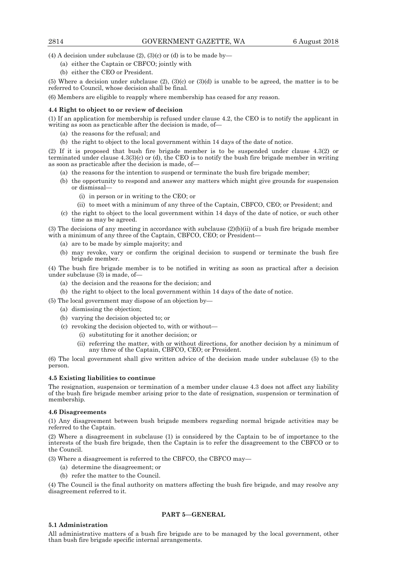(4) A decision under subclause  $(2)$ ,  $(3)(c)$  or  $(d)$  is to be made by-

- (a) either the Captain or CBFCO; jointly with
- (b) either the CEO or President.

(5) Where a decision under subclause (2), (3)(c) or (3)(d) is unable to be agreed, the matter is to be referred to Council, whose decision shall be final.

(6) Members are eligible to reapply where membership has ceased for any reason.

#### **4.4 Right to object to or review of decision**

(1) If an application for membership is refused under clause 4.2, the CEO is to notify the applicant in writing as soon as practicable after the decision is made, of—

- (a) the reasons for the refusal; and
- (b) the right to object to the local government within 14 days of the date of notice.

(2) If it is proposed that bush fire brigade member is to be suspended under clause 4.3(2) or terminated under clause 4.3(3)(c) or (d), the CEO is to notify the bush fire brigade member in writing as soon as practicable after the decision is made, of—

- (a) the reasons for the intention to suspend or terminate the bush fire brigade member;
- (b) the opportunity to respond and answer any matters which might give grounds for suspension or dismissal—
	- (i) in person or in writing to the CEO; or
	- (ii) to meet with a minimum of any three of the Captain, CBFCO, CEO; or President; and
- (c) the right to object to the local government within 14 days of the date of notice, or such other time as may be agreed.

(3) The decisions of any meeting in accordance with subclause  $(2)(b)(ii)$  of a bush fire brigade member with a minimum of any three of the Captain, CBFCO, CEO; or President—

- (a) are to be made by simple majority; and
- (b) may revoke, vary or confirm the original decision to suspend or terminate the bush fire brigade member.

(4) The bush fire brigade member is to be notified in writing as soon as practical after a decision under subclause (3) is made, of—

- (a) the decision and the reasons for the decision; and
- (b) the right to object to the local government within 14 days of the date of notice.

(5) The local government may dispose of an objection by—

- (a) dismissing the objection;
- (b) varying the decision objected to; or
- (c) revoking the decision objected to, with or without—
	- (i) substituting for it another decision; or
	- (ii) referring the matter, with or without directions, for another decision by a minimum of any three of the Captain, CBFCO, CEO; or President.

(6) The local government shall give written advice of the decision made under subclause (5) to the person.

#### **4.5 Existing liabilities to continue**

The resignation, suspension or termination of a member under clause 4.3 does not affect any liability of the bush fire brigade member arising prior to the date of resignation, suspension or termination of membership.

#### **4.6 Disagreements**

(1) Any disagreement between bush brigade members regarding normal brigade activities may be referred to the Captain.

(2) Where a disagreement in subclause (1) is considered by the Captain to be of importance to the interests of the bush fire brigade, then the Captain is to refer the disagreement to the CBFCO or to the Council.

(3) Where a disagreement is referred to the CBFCO, the CBFCO may—

- (a) determine the disagreement; or
- (b) refer the matter to the Council.

(4) The Council is the final authority on matters affecting the bush fire brigade, and may resolve any disagreement referred to it.

## **PART 5—GENERAL**

#### **5.1 Administration**

All administrative matters of a bush fire brigade are to be managed by the local government, other than bush fire brigade specific internal arrangements.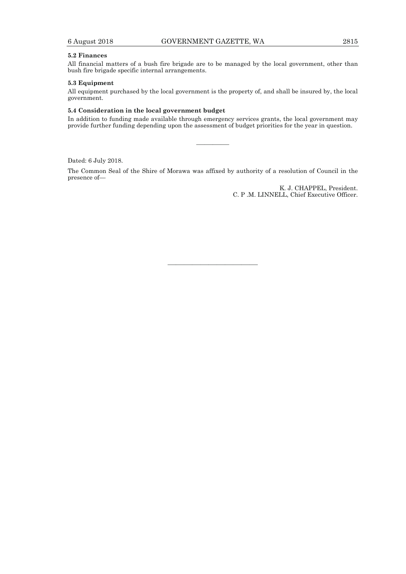## **5.2 Finances**

All financial matters of a bush fire brigade are to be managed by the local government, other than bush fire brigade specific internal arrangements.

#### **5.3 Equipment**

All equipment purchased by the local government is the property of, and shall be insured by, the local government.

#### **5.4 Consideration in the local government budget**

In addition to funding made available through emergency services grants, the local government may provide further funding depending upon the assessment of budget priorities for the year in question.

————

Dated: 6 July 2018.

The Common Seal of the Shire of Morawa was affixed by authority of a resolution of Council in the presence of—

> K. J. CHAPPEL, President. C. P .M. LINNELL, Chief Executive Officer.

———————————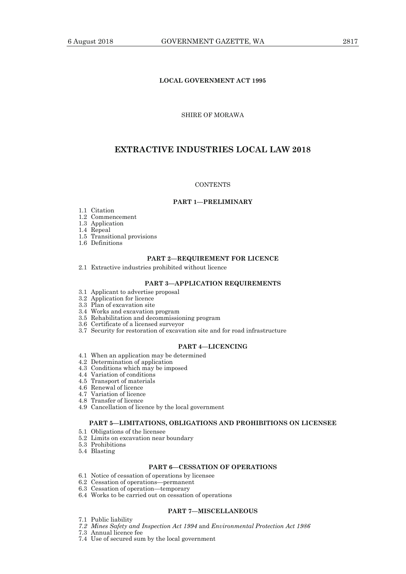## **LOCAL GOVERNMENT ACT 1995**

## SHIRE OF MORAWA

## **EXTRACTIVE INDUSTRIES LOCAL LAW 2018**

#### **CONTENTS**

## **PART 1—PRELIMINARY**

- 1.1 Citation
- 1.2 Commencement
- 1.3 Application
- 1.4 Repeal
- 1.5 Transitional provisions
	- 1.6 Definitions

## **PART 2—REQUIREMENT FOR LICENCE**

2.1 Extractive industries prohibited without licence

#### **PART 3—APPLICATION REQUIREMENTS**

- 3.1 Applicant to advertise proposal
- 3.2 Application for licence
- 3.3 Plan of excavation site
- 3.4 Works and excavation program
- 3.5 Rehabilitation and decommissioning program
- 3.6 Certificate of a licensed surveyor
- 3.7 Security for restoration of excavation site and for road infrastructure

## **PART 4—LICENCING**

- 4.1 When an application may be determined
- 4.2 Determination of application
- 4.3 Conditions which may be imposed
- 4.4 Variation of conditions
- 4.5 Transport of materials
- 4.6 Renewal of licence
- 4.7 Variation of licence
	- 4.8 Transfer of licence
	- 4.9 Cancellation of licence by the local government

## **PART 5—LIMITATIONS, OBLIGATIONS AND PROHIBITIONS ON LICENSEE**

- 5.1 Obligations of the licensee
- 5.2 Limits on excavation near boundary
- 5.3 Prohibitions
- 5.4 Blasting

#### **PART 6—CESSATION OF OPERATIONS**

- 6.1 Notice of cessation of operations by licensee
- 6.2 Cessation of operations—permanent
- 6.3 Cessation of operation—temporary
	- 6.4 Works to be carried out on cessation of operations

## **PART 7—MISCELLANEOUS**

- 7.1 Public liability
- *7.2 Mines Safety and Inspection Act 1994* and *Environmental Protection Act 1986*
- 7.3 Annual licence fee
- 7.4 Use of secured sum by the local government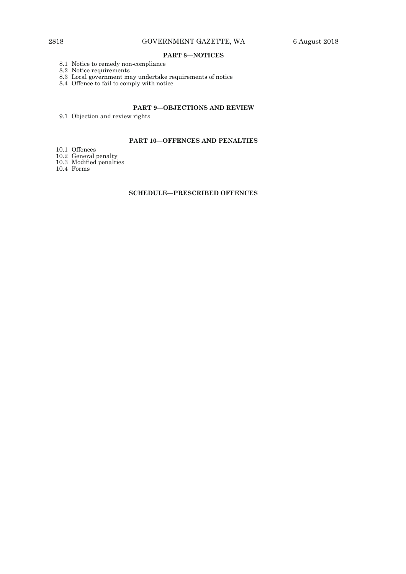## **PART 8—NOTICES**

- 8.1 Notice to remedy non-compliance
- 8.2 Notice requirements
- 8.3 Local government may undertake requirements of notice
- 8.4 Offence to fail to comply with notice

## **PART 9—OBJECTIONS AND REVIEW**

9.1 Objection and review rights

## **PART 10—OFFENCES AND PENALTIES**

- 10.1 Offences
- 10.2 General penalty
- 10.3 Modified penalties
- 10.4 Forms

## **SCHEDULE—PRESCRIBED OFFENCES**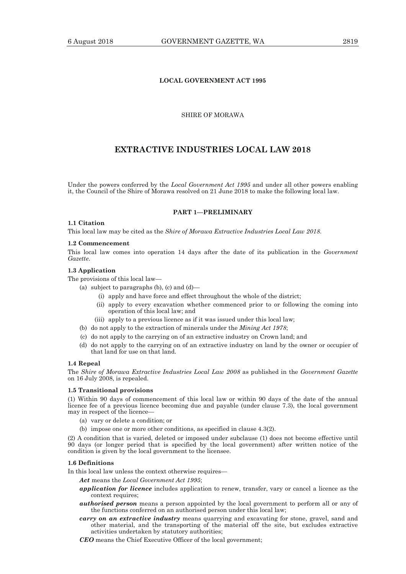## SHIRE OF MORAWA

**LOCAL GOVERNMENT ACT 1995** 

## **EXTRACTIVE INDUSTRIES LOCAL LAW 2018**

Under the powers conferred by the *Local Government Act 1995* and under all other powers enabling it, the Council of the Shire of Morawa resolved on 21 June 2018 to make the following local law.

## **PART 1—PRELIMINARY**

#### **1.1 Citation**

This local law may be cited as the *Shire of Morawa Extractive Industries Local Law 2018*.

#### **1.2 Commencement**

This local law comes into operation 14 days after the date of its publication in the *Government Gazette*.

#### **1.3 Application**

The provisions of this local law—

- (a) subject to paragraphs (b), (c) and  $(d)$ 
	- (i) apply and have force and effect throughout the whole of the district;
	- (ii) apply to every excavation whether commenced prior to or following the coming into operation of this local law; and
	- (iii) apply to a previous licence as if it was issued under this local law;
- (b) do not apply to the extraction of minerals under the *Mining Act 1978*;
- (c) do not apply to the carrying on of an extractive industry on Crown land; and
- (d) do not apply to the carrying on of an extractive industry on land by the owner or occupier of that land for use on that land.

#### **1.4 Repeal**

The *Shire of Morawa Extractive Industries Local Law 2008* as published in the *Government Gazette*  on 16 July 2008, is repealed.

#### **1.5 Transitional provisions**

(1) Within 90 days of commencement of this local law or within 90 days of the date of the annual licence fee of a previous licence becoming due and payable (under clause 7.3), the local government may in respect of the licence—

- (a) vary or delete a condition; or
- (b) impose one or more other conditions, as specified in clause 4.3(2).

(2) A condition that is varied, deleted or imposed under subclause (1) does not become effective until 90 days (or longer period that is specified by the local government) after written notice of the condition is given by the local government to the licensee.

#### **1.6 Definitions**

In this local law unless the context otherwise requires—

*Act* means the *Local Government Act 1995*;

- *application for licence* includes application to renew, transfer, vary or cancel a licence as the context requires;
- *authorised person* means a person appointed by the local government to perform all or any of the functions conferred on an authorised person under this local law;
- *carry on an extractive industry* means quarrying and excavating for stone, gravel, sand and other material, and the transporting of the material off the site, but excludes extractive activities undertaken by statutory authorities;
- *CEO* means the Chief Executive Officer of the local government;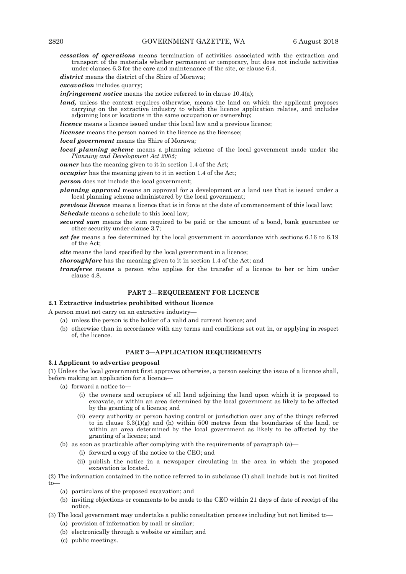*cessation of operations* means termination of activities associated with the extraction and transport of the materials whether permanent or temporary, but does not include activities under clauses 6.3 for the care and maintenance of the site, or clause 6.4.

*district* means the district of the Shire of Morawa;

*excavation* includes quarry;

*infringement notice* means the notice referred to in clause 10.4(a);

*land*, unless the context requires otherwise, means the land on which the applicant proposes carrying on the extractive industry to which the licence application relates, and includes adjoining lots or locations in the same occupation or ownership;

*licence* means a licence issued under this local law and a previous licence;

*licensee* means the person named in the licence as the licensee;

*local government* means the Shire of Morawa*;* 

*local planning scheme* means a planning scheme of the local government made under the *Planning and Development Act 2005;*

*owner* has the meaning given to it in section 1.4 of the Act;

*occupier* has the meaning given to it in section 1.4 of the Act;

*person* does not include the local government;

*planning approval* means an approval for a development or a land use that is issued under a local planning scheme administered by the local government;

*previous licence* means a licence that is in force at the date of commencement of this local law;

*Schedule* means a schedule to this local law;

- *secured sum* means the sum required to be paid or the amount of a bond, bank guarantee or other security under clause 3.7;
- *set fee* means a fee determined by the local government in accordance with sections 6.16 to 6.19 of the Act;

site means the land specified by the local government in a licence;

*thoroughfare* has the meaning given to it in section 1.4 of the Act; and

*transferee* means a person who applies for the transfer of a licence to her or him under clause 4.8.

## **PART 2—REQUIREMENT FOR LICENCE**

#### **2.1 Extractive industries prohibited without licence**

A person must not carry on an extractive industry—

- (a) unless the person is the holder of a valid and current licence; and
- (b) otherwise than in accordance with any terms and conditions set out in, or applying in respect of, the licence.

## **PART 3—APPLICATION REQUIREMENTS**

## **3.1 Applicant to advertise proposal**

(1) Unless the local government first approves otherwise, a person seeking the issue of a licence shall, before making an application for a licence—

- (a) forward a notice to—
	- (i) the owners and occupiers of all land adjoining the land upon which it is proposed to excavate, or within an area determined by the local government as likely to be affected by the granting of a licence; and
	- (ii) every authority or person having control or jurisdiction over any of the things referred to in clause  $3.3(1)(g)$  and (h) within 500 metres from the boundaries of the land, or within an area determined by the local government as likely to be affected by the granting of a licence; and
- (b) as soon as practicable after complying with the requirements of paragraph (a)—
	- (i) forward a copy of the notice to the CEO; and
	- (ii) publish the notice in a newspaper circulating in the area in which the proposed excavation is located.

(2) The information contained in the notice referred to in subclause (1) shall include but is not limited to—

- (a) particulars of the proposed excavation; and
- (b) inviting objections or comments to be made to the CEO within 21 days of date of receipt of the notice.
- (3) The local government may undertake a public consultation process including but not limited to— (a) provision of information by mail or similar;
	- (b) electronically through a website or similar; and
	- (c) public meetings.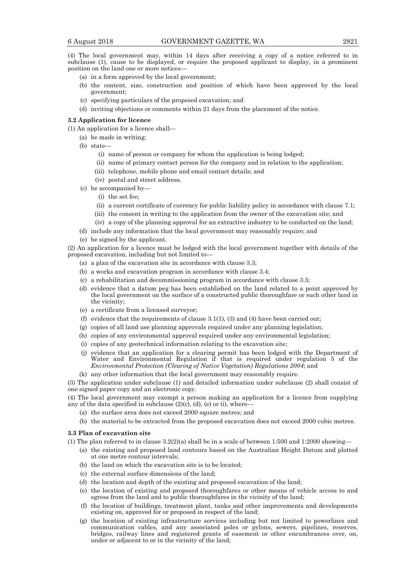(4) The local government may, within 14 days after receiving a copy of a notice referred to in subclause (1), cause to be displayed, or require the proposed applicant to display, in a prominent position on the land one or more notices—

- (a) in a form approved by the local government;
- (b) the content, size, construction and position of which have been approved by the local government;
- (c) specifying particulars of the proposed excavation; and
- (d) inviting objections or comments within 21 days from the placement of the notice.

#### **3.2 Application for licence**

- (1) An application for a licence shall—
	- (a) be made in writing;
	- (b) state—
		- (i) name of person or company for whom the application is being lodged;
		- (ii) name of primary contact person for the company and in relation to the application;
		- (iii) telephone, mobile phone and email contact details; and
		- (iv) postal and street address.
	- (c) be accompanied by—
		- (i) the set fee;
		- (ii) a current certificate of currency for public liability policy in accordance with clause 7.1;
		- (iii) the consent in writing to the application from the owner of the excavation site; and
		- (iv) a copy of the planning approval for an extractive industry to be conducted on the land;
	- (d) include any information that the local government may reasonably require; and
	- (e) be signed by the applicant.

(2) An application for a licence must be lodged with the local government together with details of the proposed excavation, including but not limited to—

- (a) a plan of the excavation site in accordance with clause 3.3;
- (b) a works and excavation program in accordance with clause 3.4;
- (c) a rehabilitation and decommissioning program in accordance with clause 3.5;
- (d) evidence that a datum peg has been established on the land related to a point approved by the local government on the surface of a constructed public thoroughfare or such other land in the vicinity;
- (e) a certificate from a licensed surveyor;
- (f) evidence that the requirements of clause  $3.1(1)$ , (3) and (4) have been carried out;
- (g) copies of all land use planning approvals required under any planning legislation;
- (h) copies of any environmental approval required under any environmental legislation;
- (i) copies of any geotechnical information relating to the excavation site;
- (j) evidence that an application for a clearing permit has been lodged with the Department of Water and Environmental Regulation if that is required under regulation 5 of the *Environmental Protection (Clearing of Native Vegetation) Regulations 2004*; and
- (k) any other information that the local government may reasonably require.

(3) The application under subclause (1) and detailed information under subclause (2) shall consist of one signed paper copy and an electronic copy.

(4) The local government may exempt a person making an application for a licence from supplying any of the data specified in subclause  $(2)(c)$ ,  $(d)$ ,  $(e)$  or  $(i)$ , where-

- (a) the surface area does not exceed 2000 square metres; and
- (b) the material to be extracted from the proposed excavation does not exceed 2000 cubic metres.

#### **3.3 Plan of excavation site**

(1) The plan referred to in clause  $3.2(2)(a)$  shall be in a scale of between 1:500 and 1:2000 showing—

- (a) the existing and proposed land contours based on the Australian Height Datum and plotted at one metre contour intervals;
- (b) the land on which the excavation site is to be located;
- (c) the external surface dimensions of the land;
- (d) the location and depth of the existing and proposed excavation of the land;
- (e) the location of existing and proposed thoroughfares or other means of vehicle access to and egress from the land and to public thoroughfares in the vicinity of the land;
- (f) the location of buildings, treatment plant, tanks and other improvements and developments existing on, approved for or proposed in respect of the land;
- (g) the location of existing infrastructure services including but not limited to powerlines and communication cables, and any associated poles or pylons, sewers, pipelines, reserves, bridges, railway lines and registered grants of easement or other encumbrances over, on, under or adjacent to or in the vicinity of the land;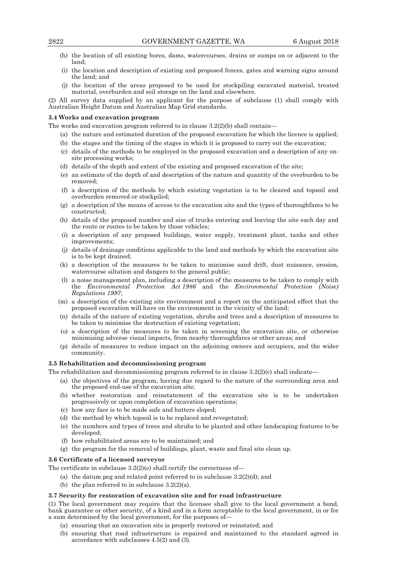- (h) the location of all existing bores, dams, watercourses, drains or sumps on or adjacent to the land;
- (i) the location and description of existing and proposed fences, gates and warning signs around the land; and
- (j) the location of the areas proposed to be used for stockpiling excavated material, treated material, overburden and soil storage on the land and elsewhere.

(2) All survey data supplied by an applicant for the purpose of subclause (1) shall comply with Australian Height Datum and Australian Map Grid standards.

#### **3.4 Works and excavation program**

The works and excavation program referred to in clause 3.2(2)(b) shall contain—

- (a) the nature and estimated duration of the proposed excavation for which the licence is applied;
- (b) the stages and the timing of the stages in which it is proposed to carry out the excavation;
- (c) details of the methods to be employed in the proposed excavation and a description of any onsite processing works;
- (d) details of the depth and extent of the existing and proposed excavation of the site;
- (e) an estimate of the depth of and description of the nature and quantity of the overburden to be removed;
- (f) a description of the methods by which existing vegetation is to be cleared and topsoil and overburden removed or stockpiled;
- (g) a description of the means of access to the excavation site and the types of thoroughfares to be constructed;
- (h) details of the proposed number and size of trucks entering and leaving the site each day and the route or routes to be taken by those vehicles;
- (i) a description of any proposed buildings, water supply, treatment plant, tanks and other improvements;
- (j) details of drainage conditions applicable to the land and methods by which the excavation site is to be kept drained;
- (k) a description of the measures to be taken to minimise sand drift, dust nuisance, erosion, watercourse siltation and dangers to the general public;
- (l) a noise management plan, including a description of the measures to be taken to comply with the *Environmental Protection Act 1986* and the *Environmental Protection (Noise) Regulations 1997*;
- (m) a description of the existing site environment and a report on the anticipated effect that the proposed excavation will have on the environment in the vicinity of the land;
- (n) details of the nature of existing vegetation, shrubs and trees and a description of measures to be taken to minimise the destruction of existing vegetation;
- (o) a description of the measures to be taken in screening the excavation site, or otherwise minimising adverse visual impacts, from nearby thoroughfares or other areas; and
- (p) details of measures to reduce impact on the adjoining owners and occupiers, and the wider community.

#### **3.5 Rehabilitation and decommissioning program**

The rehabilitation and decommissioning program referred to in clause  $3.2(2)(c)$  shall indicate—

- (a) the objectives of the program, having due regard to the nature of the surrounding area and the proposed end-use of the excavation site;
- (b) whether restoration and reinstatement of the excavation site is to be undertaken progressively or upon completion of excavation operations;
- (c) how any face is to be made safe and batters sloped;
- (d) the method by which topsoil is to be replaced and revegetated;
- (e) the numbers and types of trees and shrubs to be planted and other landscaping features to be developed;
- (f) how rehabilitated areas are to be maintained; and
- (g) the program for the removal of buildings, plant, waste and final site clean up.

## **3.6 Certificate of a licensed surveyor**

The certificate in subclause 3.2(2)(e) shall certify the correctness of—

- (a) the datum peg and related point referred to in subclause  $3.2(2)(d)$ ; and
- (b) the plan referred to in subclause  $3.2(2)(a)$ .

## **3.7 Security for restoration of excavation site and for road infrastructure**

(1) The local government may require that the licensee shall give to the local government a bond, bank guarantee or other security, of a kind and in a form acceptable to the local government, in or for a sum determined by the local government, for the purposes of—

- (a) ensuring that an excavation site is properly restored or reinstated; and
- (b) ensuring that road infrastructure is repaired and maintained to the standard agreed in accordance with subclauses 4.5(2) and (3).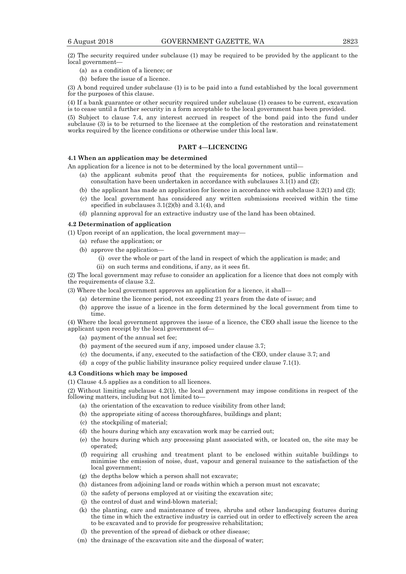(2) The security required under subclause (1) may be required to be provided by the applicant to the local government—

- (a) as a condition of a licence; or
- (b) before the issue of a licence.

(3) A bond required under subclause (1) is to be paid into a fund established by the local government for the purposes of this clause.

(4) If a bank guarantee or other security required under subclause (1) ceases to be current, excavation is to cease until a further security in a form acceptable to the local government has been provided.

(5) Subject to clause 7.4, any interest accrued in respect of the bond paid into the fund under subclause (3) is to be returned to the licensee at the completion of the restoration and reinstatement works required by the licence conditions or otherwise under this local law.

## **PART 4—LICENCING**

#### **4.1 When an application may be determined**

An application for a licence is not to be determined by the local government until—

- (a) the applicant submits proof that the requirements for notices, public information and consultation have been undertaken in accordance with subclauses  $3.1(1)$  and (2);
- (b) the applicant has made an application for licence in accordance with subclause  $3.2(1)$  and  $(2)$ ;
- (c) the local government has considered any written submissions received within the time specified in subclauses 3.1(2)(b) and 3.1(4), and
- (d) planning approval for an extractive industry use of the land has been obtained.

#### **4.2 Determination of application**

(1) Upon receipt of an application, the local government may—

- (a) refuse the application; or
- (b) approve the application—
	- (i) over the whole or part of the land in respect of which the application is made; and
	- (ii) on such terms and conditions, if any, as it sees fit.

(2) The local government may refuse to consider an application for a licence that does not comply with the requirements of clause 3.2.

(3) Where the local government approves an application for a licence, it shall—

- (a) determine the licence period, not exceeding 21 years from the date of issue; and
- (b) approve the issue of a licence in the form determined by the local government from time to time.

(4) Where the local government approves the issue of a licence, the CEO shall issue the licence to the applicant upon receipt by the local government of—

- (a) payment of the annual set fee;
- (b) payment of the secured sum if any, imposed under clause 3.7;
- (c) the documents, if any, executed to the satisfaction of the CEO, under clause 3.7; and
- (d) a copy of the public liability insurance policy required under clause 7.1(1).

#### **4.3 Conditions which may be imposed**

(1) Clause 4.5 applies as a condition to all licences.

(2) Without limiting subclause 4.2(1), the local government may impose conditions in respect of the following matters, including but not limited to—

- (a) the orientation of the excavation to reduce visibility from other land;
- (b) the appropriate siting of access thoroughfares, buildings and plant;
- (c) the stockpiling of material;
- (d) the hours during which any excavation work may be carried out;
- (e) the hours during which any processing plant associated with, or located on, the site may be operated;
- (f) requiring all crushing and treatment plant to be enclosed within suitable buildings to minimise the emission of noise, dust, vapour and general nuisance to the satisfaction of the local government;
- (g) the depths below which a person shall not excavate;
- (h) distances from adjoining land or roads within which a person must not excavate;
- (i) the safety of persons employed at or visiting the excavation site;
- (j) the control of dust and wind-blown material;
- (k) the planting, care and maintenance of trees, shrubs and other landscaping features during the time in which the extractive industry is carried out in order to effectively screen the area to be excavated and to provide for progressive rehabilitation;
- (l) the prevention of the spread of dieback or other disease;
- (m) the drainage of the excavation site and the disposal of water;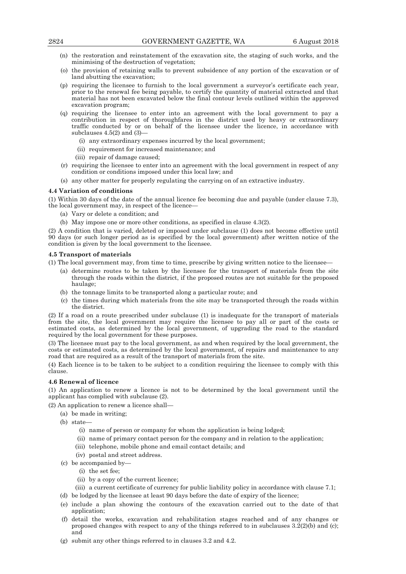- (n) the restoration and reinstatement of the excavation site, the staging of such works, and the minimising of the destruction of vegetation;
- (o) the provision of retaining walls to prevent subsidence of any portion of the excavation or of land abutting the excavation;
- (p) requiring the licensee to furnish to the local government a surveyor's certificate each year, prior to the renewal fee being payable, to certify the quantity of material extracted and that material has not been excavated below the final contour levels outlined within the approved excavation program;
- (q) requiring the licensee to enter into an agreement with the local government to pay a contribution in respect of thoroughfares in the district used by heavy or extraordinary traffic conducted by or on behalf of the licensee under the licence, in accordance with subclauses 4.5(2) and (3)—
	- (i) any extraordinary expenses incurred by the local government;
	- (ii) requirement for increased maintenance; and
	- (iii) repair of damage caused;
- (r) requiring the licensee to enter into an agreement with the local government in respect of any condition or conditions imposed under this local law; and
- (s) any other matter for properly regulating the carrying on of an extractive industry.

## **4.4 Variation of conditions**

(1) Within 30 days of the date of the annual licence fee becoming due and payable (under clause 7.3), the local government may, in respect of the licence—

- (a) Vary or delete a condition; and
- (b) May impose one or more other conditions, as specified in clause 4.3(2).

(2) A condition that is varied, deleted or imposed under subclause (1) does not become effective until 90 days (or such longer period as is specified by the local government) after written notice of the condition is given by the local government to the licensee.

#### **4.5 Transport of materials**

(1) The local government may, from time to time, prescribe by giving written notice to the licensee—

- (a) determine routes to be taken by the licensee for the transport of materials from the site through the roads within the district, if the proposed routes are not suitable for the proposed haulage;
- (b) the tonnage limits to be transported along a particular route; and
- (c) the times during which materials from the site may be transported through the roads within the district.

(2) If a road on a route prescribed under subclause (1) is inadequate for the transport of materials from the site, the local government may require the licensee to pay all or part of the costs or estimated costs, as determined by the local government, of upgrading the road to the standard required by the local government for these purposes.

(3) The licensee must pay to the local government, as and when required by the local government, the costs or estimated costs, as determined by the local government, of repairs and maintenance to any road that are required as a result of the transport of materials from the site.

(4) Each licence is to be taken to be subject to a condition requiring the licensee to comply with this clause.

#### **4.6 Renewal of licence**

(1) An application to renew a licence is not to be determined by the local government until the applicant has complied with subclause (2).

(2) An application to renew a licence shall—

- (a) be made in writing;
- (b) state—
	- (i) name of person or company for whom the application is being lodged;
	- (ii) name of primary contact person for the company and in relation to the application;
	- (iii) telephone, mobile phone and email contact details; and
	- (iv) postal and street address.
- (c) be accompanied by—
	- (i) the set fee;
	- (ii) by a copy of the current licence;
- (iii) a current certificate of currency for public liability policy in accordance with clause 7.1;
- (d) be lodged by the licensee at least 90 days before the date of expiry of the licence;
- (e) include a plan showing the contours of the excavation carried out to the date of that application;
- (f) detail the works, excavation and rehabilitation stages reached and of any changes or proposed changes with respect to any of the things referred to in subclauses 3.2(2)(b) and (c); and
- (g) submit any other things referred to in clauses 3.2 and 4.2.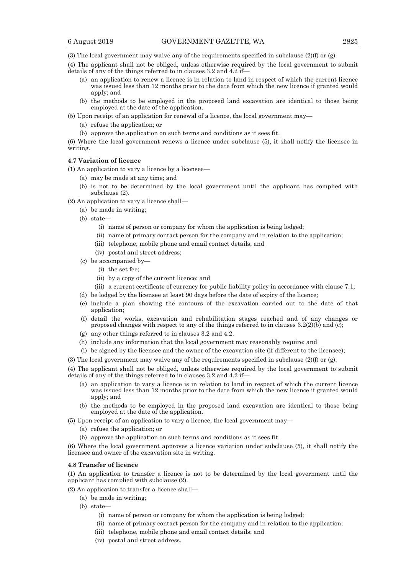(3) The local government may waive any of the requirements specified in subclause (2)(f) or (g).

- (4) The applicant shall not be obliged, unless otherwise required by the local government to submit details of any of the things referred to in clauses 3.2 and 4.2 if—
	- (a) an application to renew a licence is in relation to land in respect of which the current licence was issued less than 12 months prior to the date from which the new licence if granted would apply; and
	- (b) the methods to be employed in the proposed land excavation are identical to those being employed at the date of the application.
- (5) Upon receipt of an application for renewal of a licence, the local government may—
	- (a) refuse the application; or
	- (b) approve the application on such terms and conditions as it sees fit.

(6) Where the local government renews a licence under subclause (5), it shall notify the licensee in writing.

## **4.7 Variation of licence**

(1) An application to vary a licence by a licensee—

- (a) may be made at any time; and
- (b) is not to be determined by the local government until the applicant has complied with subclause (2).
- (2) An application to vary a licence shall—
	- (a) be made in writing;
	- (b) state—
		- (i) name of person or company for whom the application is being lodged;
		- (ii) name of primary contact person for the company and in relation to the application;
		- (iii) telephone, mobile phone and email contact details; and
		- (iv) postal and street address;
	- (c) be accompanied by—
		- (i) the set fee;
		- (ii) by a copy of the current licence; and
		- (iii) a current certificate of currency for public liability policy in accordance with clause 7.1;
	- (d) be lodged by the licensee at least 90 days before the date of expiry of the licence;
	- (e) include a plan showing the contours of the excavation carried out to the date of that application;
	- (f) detail the works, excavation and rehabilitation stages reached and of any changes or proposed changes with respect to any of the things referred to in clauses  $3.2(2)(b)$  and (c);
	- (g) any other things referred to in clauses 3.2 and 4.2.
	- (h) include any information that the local government may reasonably require; and
	- (i) be signed by the licensee and the owner of the excavation site (if different to the licensee);
- (3) The local government may waive any of the requirements specified in subclause (2)(f) or (g).

(4) The applicant shall not be obliged, unless otherwise required by the local government to submit details of any of the things referred to in clauses 3.2 and 4.2 if—

- (a) an application to vary a licence is in relation to land in respect of which the current licence was issued less than 12 months prior to the date from which the new licence if granted would apply; and
- (b) the methods to be employed in the proposed land excavation are identical to those being employed at the date of the application.
- (5) Upon receipt of an application to vary a licence, the local government may—
	- (a) refuse the application; or
	- (b) approve the application on such terms and conditions as it sees fit.

(6) Where the local government approves a licence variation under subclause (5), it shall notify the licensee and owner of the excavation site in writing.

## **4.8 Transfer of licence**

(1) An application to transfer a licence is not to be determined by the local government until the applicant has complied with subclause (2).

(2) An application to transfer a licence shall—

(a) be made in writing;

(b) state—

- (i) name of person or company for whom the application is being lodged;
- (ii) name of primary contact person for the company and in relation to the application;
- (iii) telephone, mobile phone and email contact details; and
- (iv) postal and street address.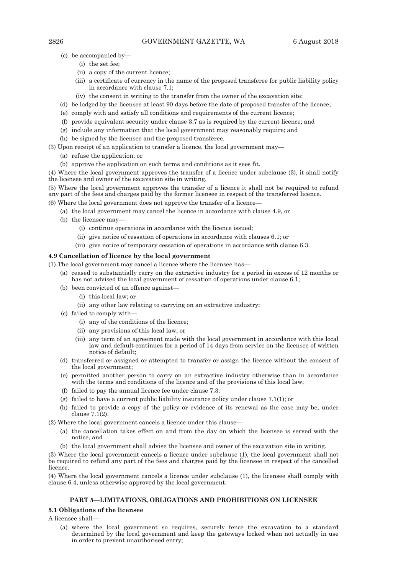- (c) be accompanied by—
	- (i) the set fee;
	- (ii) a copy of the current licence;
	- (iii) a certificate of currency in the name of the proposed transferee for public liability policy in accordance with clause 7.1;
	- (iv) the consent in writing to the transfer from the owner of the excavation site;
- (d) be lodged by the licensee at least 90 days before the date of proposed transfer of the licence;
- (e) comply with and satisfy all conditions and requirements of the current licence;
- (f) provide equivalent security under clause 3.7 as is required by the current licence; and
- (g) include any information that the local government may reasonably require; and
- (h) be signed by the licensee and the proposed transferee.
- (3) Upon receipt of an application to transfer a licence, the local government may—
	- (a) refuse the application; or
	- (b) approve the application on such terms and conditions as it sees fit.

(4) Where the local government approves the transfer of a licence under subclause (3), it shall notify the licensee and owner of the excavation site in writing.

(5) Where the local government approves the transfer of a licence it shall not be required to refund any part of the fees and charges paid by the former licensee in respect of the transferred licence.

(6) Where the local government does not approve the transfer of a licence—

- (a) the local government may cancel the licence in accordance with clause 4.9, or
- (b) the licensee may—
	- (i) continue operations in accordance with the licence issued;
	- (ii) give notice of cessation of operations in accordance with clauses 6.1; or
	- (iii) give notice of temporary cessation of operations in accordance with clause 6.3.

#### **4.9 Cancellation of licence by the local government**

(1) The local government may cancel a licence where the licensee has—

- (a) ceased to substantially carry on the extractive industry for a period in excess of 12 months or has not advised the local government of cessation of operations under clause 6.1;
- (b) been convicted of an offence against—
	- (i) this local law; or
	- (ii) any other law relating to carrying on an extractive industry;
- (c) failed to comply with—
	- (i) any of the conditions of the licence;
	- (ii) any provisions of this local law; or
	- (iii) any term of an agreement made with the local government in accordance with this local law and default continues for a period of 14 days from service on the licensee of written notice of default;
- (d) transferred or assigned or attempted to transfer or assign the licence without the consent of the local government;
- (e) permitted another person to carry on an extractive industry otherwise than in accordance with the terms and conditions of the licence and of the provisions of this local law;
- (f) failed to pay the annual licence fee under clause 7.3;
- (g) failed to have a current public liability insurance policy under clause 7.1(1); or
- (h) failed to provide a copy of the policy or evidence of its renewal as the case may be, under clause 7.1(2).

(2) Where the local government cancels a licence under this clause—

- (a) the cancellation takes effect on and from the day on which the licensee is served with the notice, and
- (b) the local government shall advise the licensee and owner of the excavation site in writing.

(3) Where the local government cancels a licence under subclause (1), the local government shall not be required to refund any part of the fees and charges paid by the licensee in respect of the cancelled licence.

(4) Where the local government cancels a licence under subclause (1), the licensee shall comply with clause 6.4, unless otherwise approved by the local government.

#### **PART 5—LIMITATIONS, OBLIGATIONS AND PROHIBITIONS ON LICENSEE**

#### **5.1 Obligations of the licensee**

A licensee shall—

 (a) where the local government so requires, securely fence the excavation to a standard determined by the local government and keep the gateways locked when not actually in use in order to prevent unauthorised entry;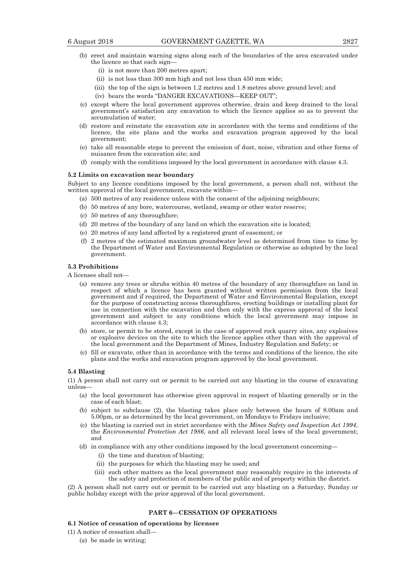- (b) erect and maintain warning signs along each of the boundaries of the area excavated under the licence so that each sign—
	- (i) is not more than 200 metres apart;
	- (ii) is not less than 300 mm high and not less than 450 mm wide;
	- (iii) the top of the sign is between 1.2 metres and 1.8 metres above ground level; and
	- (iv) bears the words "DANGER EXCAVATIONS—KEEP OUT";
- (c) except where the local government approves otherwise, drain and keep drained to the local government's satisfaction any excavation to which the licence applies so as to prevent the accumulation of water;
- (d) restore and reinstate the excavation site in accordance with the terms and conditions of the licence, the site plans and the works and excavation program approved by the local government;
- (e) take all reasonable steps to prevent the emission of dust, noise, vibration and other forms of nuisance from the excavation site; and
- (f) comply with the conditions imposed by the local government in accordance with clause 4.3.

#### **5.2 Limits on excavation near boundary**

Subject to any licence conditions imposed by the local government, a person shall not, without the written approval of the local government, excavate within—

- (a) 500 metres of any residence unless with the consent of the adjoining neighbours;
- (b) 50 metres of any bore, watercourse, wetland, swamp or other water reserve;
- (c) 50 metres of any thoroughfare;
- (d) 20 metres of the boundary of any land on which the excavation site is located;
- (e) 20 metres of any land affected by a registered grant of easement; or
- (f) 2 metres of the estimated maximum groundwater level as determined from time to time by the Department of Water and Environmental Regulation or otherwise as adopted by the local government.

## **5.3 Prohibitions**

A licensee shall not—

- (a) remove any trees or shrubs within 40 metres of the boundary of any thoroughfare on land in respect of which a licence has been granted without written permission from the local government and if required, the Department of Water and Environmental Regulation, except for the purpose of constructing access thoroughfares, erecting buildings or installing plant for use in connection with the excavation and then only with the express approval of the local government and subject to any conditions which the local government may impose in accordance with clause 4.3;
- (b) store, or permit to be stored, except in the case of approved rock quarry sites, any explosives or explosive devices on the site to which the licence applies other than with the approval of the local government and the Department of Mines, Industry Regulation and Safety; or
- (c) fill or excavate, other than in accordance with the terms and conditions of the licence, the site plans and the works and excavation program approved by the local government.

#### **5.4 Blasting**

(1) A person shall not carry out or permit to be carried out any blasting in the course of excavating unless—

- (a) the local government has otherwise given approval in respect of blasting generally or in the case of each blast;
- (b) subject to subclause (2), the blasting takes place only between the hours of 8.00am and 5.00pm, or as determined by the local government, on Mondays to Fridays inclusive;
- (c) the blasting is carried out in strict accordance with the *Mines Safety and Inspection Act 1994*, the *Environmental Protection Act 1986*, and all relevant local laws of the local government; and
- (d) in compliance with any other conditions imposed by the local government concerning—
	- (i) the time and duration of blasting;
	- (ii) the purposes for which the blasting may be used; and
	- (iii) such other matters as the local government may reasonably require in the interests of the safety and protection of members of the public and of property within the district.

(2) A person shall not carry out or permit to be carried out any blasting on a Saturday, Sunday or public holiday except with the prior approval of the local government.

#### **PART 6—CESSATION OF OPERATIONS**

#### **6.1 Notice of cessation of operations by licensee**

- (1) A notice of cessation shall—
	- (a) be made in writing;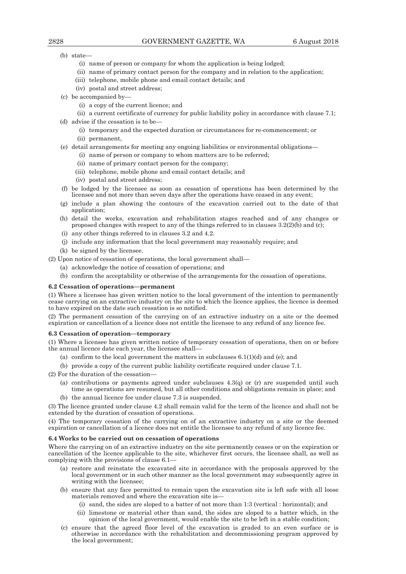- (b) state—
	- (i) name of person or company for whom the application is being lodged;
	- (ii) name of primary contact person for the company and in relation to the application;
	- (iii) telephone, mobile phone and email contact details; and
	- (iv) postal and street address;
- (c) be accompanied by—
	- (i) a copy of the current licence; and

 (ii) a current certificate of currency for public liability policy in accordance with clause 7.1; (d) advise if the cessation is to be—

- (i) temporary and the expected duration or circumstances for re-commencement; or
- (ii) permanent,
- (e) detail arrangements for meeting any ongoing liabilities or environmental obligations—
	- (i) name of person or company to whom matters are to be referred;
	- (ii) name of primary contact person for the company;
	- (iii) telephone, mobile phone and email contact details; and
	- (iv) postal and street address;
- (f) be lodged by the licensee as soon as cessation of operations has been determined by the licensee and not more than seven days after the operations have ceased in any event;
- (g) include a plan showing the contours of the excavation carried out to the date of that application;
- (h) detail the works, excavation and rehabilitation stages reached and of any changes or proposed changes with respect to any of the things referred to in clauses 3.2(2)(b) and (c);
- (i) any other things referred to in clauses 3.2 and 4.2.
- (j) include any information that the local government may reasonably require; and
- (k) be signed by the licensee.

(2) Upon notice of cessation of operations, the local government shall—

- (a) acknowledge the notice of cessation of operations; and
- (b) confirm the acceptability or otherwise of the arrangements for the cessation of operations.

#### **6.2 Cessation of operations—permanent**

(1) Where a licensee has given written notice to the local government of the intention to permanently cease carrying on an extractive industry on the site to which the licence applies, the licence is deemed to have expired on the date such cessation is so notified.

(2) The permanent cessation of the carrying on of an extractive industry on a site or the deemed expiration or cancellation of a licence does not entitle the licensee to any refund of any licence fee.

#### **6.3 Cessation of operation—temporary**

(1) Where a licensee has given written notice of temporary cessation of operations, then on or before the annual licence date each year, the licensee shall—

- (a) confirm to the local government the matters in subclauses  $6.1(1)(d)$  and (e); and
- (b) provide a copy of the current public liability certificate required under clause 7.1.

(2) For the duration of the cessation—

- (a) contributions or payments agreed under subclauses  $4.3(q)$  or (r) are suspended until such time as operations are resumed, but all other conditions and obligations remain in place; and
- (b) the annual licence fee under clause 7.3 is suspended.

(3) The licence granted under clause 4.2 shall remain valid for the term of the licence and shall not be extended by the duration of cessation of operations.

(4) The temporary cessation of the carrying on of an extractive industry on a site or the deemed expiration or cancellation of a licence does not entitle the licensee to any refund of any licence fee.

#### **6.4 Works to be carried out on cessation of operations**

Where the carrying on of an extractive industry on the site permanently ceases or on the expiration or cancellation of the licence applicable to the site, whichever first occurs, the licensee shall, as well as complying with the provisions of clause 6.1—

- (a) restore and reinstate the excavated site in accordance with the proposals approved by the local government or in such other manner as the local government may subsequently agree in writing with the licensee;
- (b) ensure that any face permitted to remain upon the excavation site is left safe with all loose materials removed and where the excavation site is—
	- (i) sand, the sides are sloped to a batter of not more than 1:3 (vertical : horizontal); and
	- (ii) limestone or material other than sand, the sides are sloped to a batter which, in the opinion of the local government, would enable the site to be left in a stable condition;
- (c) ensure that the agreed floor level of the excavation is graded to an even surface or is otherwise in accordance with the rehabilitation and decommissioning program approved by the local government;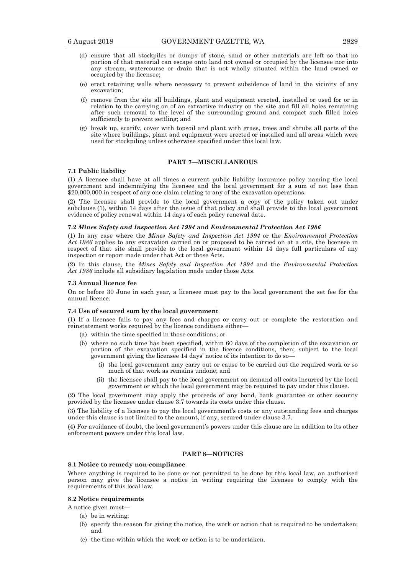- (d) ensure that all stockpiles or dumps of stone, sand or other materials are left so that no portion of that material can escape onto land not owned or occupied by the licensee nor into any stream, watercourse or drain that is not wholly situated within the land owned or occupied by the licensee;
- (e) erect retaining walls where necessary to prevent subsidence of land in the vicinity of any excavation;
- (f) remove from the site all buildings, plant and equipment erected, installed or used for or in relation to the carrying on of an extractive industry on the site and fill all holes remaining after such removal to the level of the surrounding ground and compact such filled holes sufficiently to prevent settling; and
- (g) break up, scarify, cover with topsoil and plant with grass, trees and shrubs all parts of the site where buildings, plant and equipment were erected or installed and all areas which were used for stockpiling unless otherwise specified under this local law.

#### **PART 7—MISCELLANEOUS**

## **7.1 Public liability**

(1) A licensee shall have at all times a current public liability insurance policy naming the local government and indemnifying the licensee and the local government for a sum of not less than \$20,000,000 in respect of any one claim relating to any of the excavation operations.

(2) The licensee shall provide to the local government a copy of the policy taken out under subclause (1), within 14 days after the issue of that policy and shall provide to the local government evidence of policy renewal within 14 days of each policy renewal date.

#### **7.2** *Mines Safety and Inspection Act 1994* **and** *Environmental Protection Act 1986*

(1) In any case where the *Mines Safety and Inspection Act 1994* or the *Environmental Protection Act 1986* applies to any excavation carried on or proposed to be carried on at a site, the licensee in respect of that site shall provide to the local government within 14 days full particulars of any inspection or report made under that Act or those Acts.

(2) In this clause, the *Mines Safety and Inspection Act 1994* and the *Environmental Protection Act 1986* include all subsidiary legislation made under those Acts.

#### **7.3 Annual licence fee**

On or before 30 June in each year, a licensee must pay to the local government the set fee for the annual licence.

#### **7.4 Use of secured sum by the local government**

(1) If a licensee fails to pay any fees and charges or carry out or complete the restoration and reinstatement works required by the licence conditions either—

- (a) within the time specified in those conditions; or
- (b) where no such time has been specified, within 60 days of the completion of the excavation or portion of the excavation specified in the licence conditions, then; subject to the local government giving the licensee 14 days' notice of its intention to do so—
	- (i) the local government may carry out or cause to be carried out the required work or so much of that work as remains undone; and
	- (ii) the licensee shall pay to the local government on demand all costs incurred by the local government or which the local government may be required to pay under this clause.

(2) The local government may apply the proceeds of any bond, bank guarantee or other security provided by the licensee under clause 3.7 towards its costs under this clause.

(3) The liability of a licensee to pay the local government's costs or any outstanding fees and charges under this clause is not limited to the amount, if any, secured under clause 3.7.

(4) For avoidance of doubt, the local government's powers under this clause are in addition to its other enforcement powers under this local law.

## **PART 8—NOTICES**

#### **8.1 Notice to remedy non-compliance**

Where anything is required to be done or not permitted to be done by this local law, an authorised person may give the licensee a notice in writing requiring the licensee to comply with the requirements of this local law.

#### **8.2 Notice requirements**

A notice given must—

- (a) be in writing;
- (b) specify the reason for giving the notice, the work or action that is required to be undertaken; and
- (c) the time within which the work or action is to be undertaken.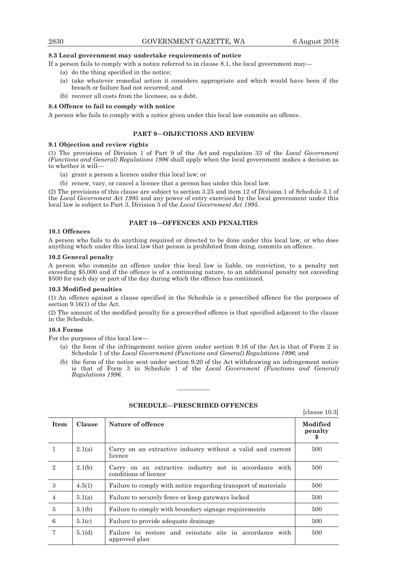#### **8.3 Local government may undertake requirements of notice**

If a person fails to comply with a notice referred to in clause 8.1, the local government may—

- (a) do the thing specified in the notice;
- (a) take whatever remedial action it considers appropriate and which would have been if the breach or failure had not occurred; and
- (b) recover all costs from the licensee, as a debt.

#### **8.4 Offence to fail to comply with notice**

A person who fails to comply with a notice given under this local law commits an offence.

#### **PART 9—OBJECTIONS AND REVIEW**

#### **9.1 Objection and review rights**

(1) The provisions of Division 1 of Part 9 of the Act and regulation 33 of the *Local Government (Functions and General) Regulations 1996* shall apply when the local government makes a decision as to whether it will—

- (a) grant a person a licence under this local law; or
- (b) renew, vary, or cancel a licence that a person has under this local law.

(2) The provisions of this clause are subject to section 3.25 and item 12 of Division 1 of Schedule 3.1 of the *Local Government Act 1995* and any power of entry exercised by the local government under this local law is subject to Part 3, Division 3 of the *Local Government Act 1995*.

## **PART 10—OFFENCES AND PENALTIES**

#### **10.1 Offences**

A person who fails to do anything required or directed to be done under this local law, or who does anything which under this local law that person is prohibited from doing, commits an offence.

#### **10.2 General penalty**

A person who commits an offence under this local law is liable, on conviction, to a penalty not exceeding \$5,000 and if the offence is of a continuing nature, to an additional penalty not exceeding \$500 for each day or part of the day during which the offence has continued.

#### **10.3 Modified penalties**

(1) An offence against a clause specified in the Schedule is a prescribed offence for the purposes of section 9.16(1) of the Act.

(2) The amount of the modified penalty for a prescribed offence is that specified adjacent to the clause in the Schedule.

#### **10.4 Forms**

For the purposes of this local law—

- (a) the form of the infringement notice given under section 9.16 of the Act is that of Form 2 in Schedule 1 of the *Local Government (Functions and General) Regulations 1996*; and
- (b) the form of the notice sent under section 9.20 of the Act withdrawing an infringement notice is that of Form 3 in Schedule 1 of the *Local Government (Functions and General) Regulations 1996*.

| <b>Item</b>    | Clause | Nature of offence                                                               | Modified<br>penalty<br>\$ |
|----------------|--------|---------------------------------------------------------------------------------|---------------------------|
|                | 2.1(a) | Carry on an extractive industry without a valid and current<br>licence          | 500                       |
| $\overline{2}$ | 2.1(b) | Carry on an extractive industry not in accordance with<br>conditions of licence | 500                       |
| 3              | 4.5(1) | Failure to comply with notice regarding transport of materials                  | 500                       |
| $\overline{4}$ | 5.1(a) | Failure to securely fence or keep gateways locked                               | 500                       |
| 5              | 5.1(b) | Failure to comply with boundary signage requirements                            | 500                       |
| 6              | 5.1(c) | Failure to provide adequate drainage                                            | 500                       |
| 7              | 5.1(d) | Failure to restore and reinstate site in accordance with<br>approved plan       | 500                       |

## **SCHEDULE—PRESCRIBED OFFENCES**

————

[clause 10.3]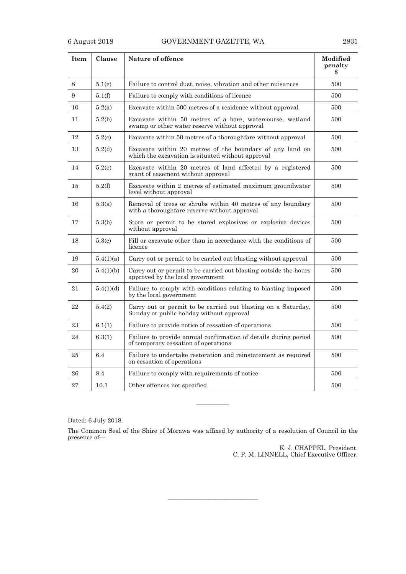| <b>Item</b> | Clause           | Nature of offence                                                                                             | Modified<br>penalty |
|-------------|------------------|---------------------------------------------------------------------------------------------------------------|---------------------|
| 8           | 5.1(e)           | Failure to control dust, noise, vibration and other nuisances                                                 | 500                 |
| 9           | 5.1(f)           | Failure to comply with conditions of licence                                                                  | 500                 |
| 10          | 5.2(a)           | Excavate within 500 metres of a residence without approval                                                    | 500                 |
| 11          | 5.2(b)           | Excavate within 50 metres of a bore, watercourse, wetland<br>swamp or other water reserve without approval    | 500                 |
| 12          | 5.2(c)           | Excavate within 50 metres of a thoroughfare without approval                                                  | 500                 |
| 13          | 5.2 <sub>d</sub> | Excavate within 20 metres of the boundary of any land on<br>which the excavation is situated without approval | 500                 |
| 14          | 5.2(e)           | Excavate within 20 metres of land affected by a registered<br>grant of easement without approval              | 500                 |
| 15          | 5.2(f)           | Excavate within 2 metres of estimated maximum groundwater<br>level without approval                           | 500                 |
| 16          | 5.3(a)           | Removal of trees or shrubs within 40 metres of any boundary<br>with a thoroughfare reserve without approval   | 500                 |
| 17          | 5.3(b)           | Store or permit to be stored explosives or explosive devices<br>without approval                              | 500                 |
| 18          | 5.3(c)           | Fill or excavate other than in accordance with the conditions of<br>licence                                   | 500                 |
| 19          | 5.4(1)(a)        | Carry out or permit to be carried out blasting without approval                                               | 500                 |
| 20          | 5.4(1)(b)        | Carry out or permit to be carried out blasting outside the hours<br>approved by the local government          | 500                 |
| 21          | 5.4(1)(d)        | Failure to comply with conditions relating to blasting imposed<br>by the local government                     | 500                 |
| 22          | 5.4(2)           | Carry out or permit to be carried out blasting on a Saturday,<br>Sunday or public holiday without approval    | 500                 |
| 23          | 6.1(1)           | Failure to provide notice of cessation of operations                                                          | 500                 |
| 24          | 6.3(1)           | Failure to provide annual confirmation of details during period<br>of temporary cessation of operations       | 500                 |
| 25          | 6.4              | Failure to undertake restoration and reinstatement as required<br>on cessation of operations                  | 500                 |
| 26          | 8.4              | Failure to comply with requirements of notice                                                                 | 500                 |
| 27          | 10.1             | Other offences not specified                                                                                  | 500                 |

Dated: 6 July 2018.

The Common Seal of the Shire of Morawa was affixed by authority of a resolution of Council in the presence of—

———————————

————

K. J. CHAPPEL, President. C. P. M. LINNELL, Chief Executive Officer.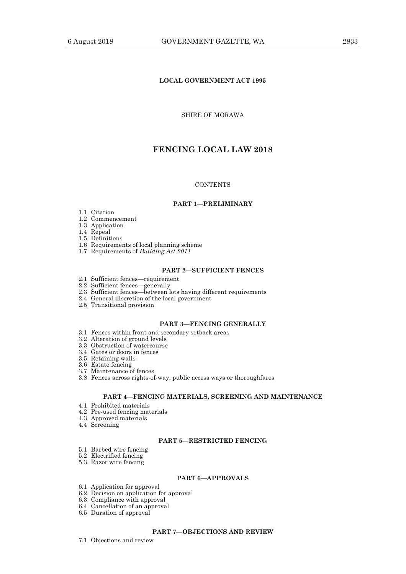## **LOCAL GOVERNMENT ACT 1995**

## SHIRE OF MORAWA

## **FENCING LOCAL LAW 2018**

#### **CONTENTS**

#### **PART 1—PRELIMINARY**

- 1.1 Citation
- 1.2 Commencement
- 1.3 Application

1.4 Repeal

1.5 Definitions

- 1.6 Requirements of local planning scheme
	- 1.7 Requirements of *Building Act 2011*

#### **PART 2—SUFFICIENT FENCES**

- 2.1 Sufficient fences—requirement
- 2.2 Sufficient fences—generally
- 2.3 Sufficient fences—between lots having different requirements
	- 2.4 General discretion of the local government
	- 2.5 Transitional provision

## **PART 3—FENCING GENERALLY**

- 3.1 Fences within front and secondary setback areas
- 3.2 Alteration of ground levels
- 3.3 Obstruction of watercourse
- 3.4 Gates or doors in fences
- 3.5 Retaining walls
- 3.6 Estate fencing
- 3.7 Maintenance of fences
- 3.8 Fences across rights-of-way, public access ways or thoroughfares

## **PART 4—FENCING MATERIALS, SCREENING AND MAINTENANCE**

- 4.1 Prohibited materials
- 4.2 Pre-used fencing materials
- 4.3 Approved materials
- 4.4 Screening

#### **PART 5—RESTRICTED FENCING**

- 5.1 Barbed wire fencing
- 5.2 Electrified fencing
- 5.3 Razor wire fencing

#### **PART 6—APPROVALS**

- 6.1 Application for approval
- 6.2 Decision on application for approval
- 6.3 Compliance with approval
- 6.4 Cancellation of an approval 6.5 Duration of approval
- 

#### **PART 7—OBJECTIONS AND REVIEW**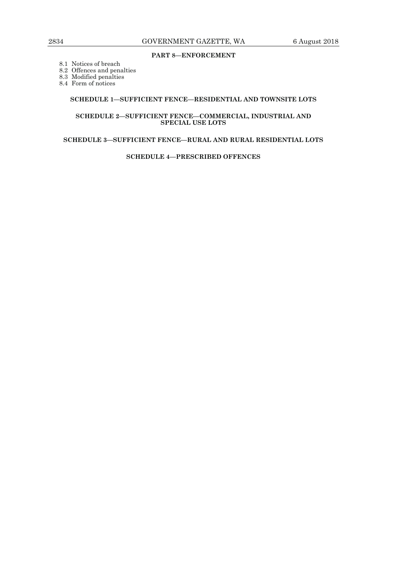## **PART 8—ENFORCEMENT**

8.1 Notices of breach

8.2 Offences and penalties

8.3 Modified penalties

8.4 Form of notices

## **SCHEDULE 1—SUFFICIENT FENCE—RESIDENTIAL AND TOWNSITE LOTS**

#### **SCHEDULE 2—SUFFICIENT FENCE—COMMERCIAL, INDUSTRIAL AND SPECIAL USE LOTS**

## **SCHEDULE 3—SUFFICIENT FENCE—RURAL AND RURAL RESIDENTIAL LOTS**

**SCHEDULE 4—PRESCRIBED OFFENCES**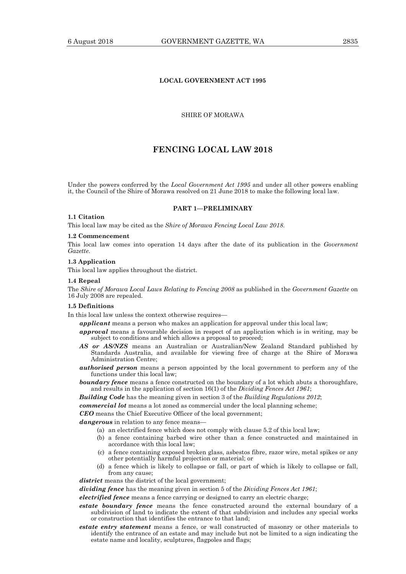## **LOCAL GOVERNMENT ACT 1995**

## SHIRE OF MORAWA

## **FENCING LOCAL LAW 2018**

Under the powers conferred by the *Local Government Act 1995* and under all other powers enabling it, the Council of the Shire of Morawa resolved on 21 June 2018 to make the following local law.

#### **PART 1—PRELIMINARY**

## **1.1 Citation**

This local law may be cited as the *Shire of Morawa Fencing Local Law 2018*.

#### **1.2 Commencement**

This local law comes into operation 14 days after the date of its publication in the *Government Gazette*.

#### **1.3 Application**

This local law applies throughout the district.

#### **1.4 Repeal**

The *Shire of Morawa Local Laws Relating to Fencing 2008* as published in the *Government Gazette* on 16 July 2008 are repealed.

#### **1.5 Definitions**

In this local law unless the context otherwise requires—

*applicant* means a person who makes an application for approval under this local law;

- *approval* means a favourable decision in respect of an application which is in writing, may be subject to conditions and which allows a proposal to proceed;
- *AS or AS/NZS* means an Australian or Australian/New Zealand Standard published by Standards Australia, and available for viewing free of charge at the Shire of Morawa Administration Centre;
- *authorised person* means a person appointed by the local government to perform any of the functions under this local law;

**boundary fence** means a fence constructed on the boundary of a lot which abuts a thoroughfare, and results in the application of section 16(1) of the *Dividing Fences Act 1961*;

*Building Code* has the meaning given in section 3 of the *Building Regulations 2012*;

*commercial lot* means a lot zoned as commercial under the local planning scheme;

*CEO* means the Chief Executive Officer of the local government;

*dangerous* in relation to any fence means—

- (a) an electrified fence which does not comply with clause 5.2 of this local law;
- (b) a fence containing barbed wire other than a fence constructed and maintained in accordance with this local law;
- (c) a fence containing exposed broken glass, asbestos fibre, razor wire, metal spikes or any other potentially harmful projection or material; or
- (d) a fence which is likely to collapse or fall, or part of which is likely to collapse or fall, from any cause;

district means the district of the local government;

*dividing fence* has the meaning given in section 5 of the *Dividing Fences Act 1961*;

*electrified fence* means a fence carrying or designed to carry an electric charge;

- *estate boundary fence* means the fence constructed around the external boundary of a subdivision of land to indicate the extent of that subdivision and includes any special works or construction that identifies the entrance to that land;
- *estate entry statement* means a fence, or wall constructed of masonry or other materials to identify the entrance of an estate and may include but not be limited to a sign indicating the estate name and locality, sculptures, flagpoles and flags;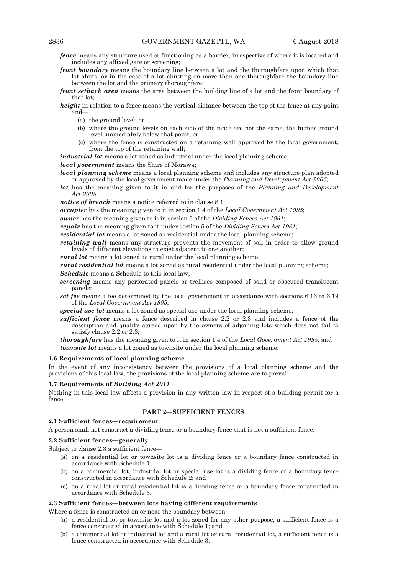*fence* means any structure used or functioning as a barrier, irrespective of where it is located and includes any affixed gate or screening;

- *front boundary* means the boundary line between a lot and the thoroughfare upon which that lot abuts, or in the case of a lot abutting on more than one thoroughfare the boundary line between the lot and the primary thoroughfare;
- *front setback area* means the area between the building line of a lot and the front boundary of that lot;
- *height* in relation to a fence means the vertical distance between the top of the fence at any point and—
	- (a) the ground level; or
	- (b) where the ground levels on each side of the fence are not the same, the higher ground level, immediately below that point; or
	- (c) where the fence is constructed on a retaining wall approved by the local government, from the top of the retaining wall;

*industrial lot* means a lot zoned as industrial under the local planning scheme; *local government* means the Shire of Morawa;

*local planning scheme* means a local planning scheme and includes any structure plan adopted or approved by the local government made under the *Planning and Development Act 2005*;

*lot* has the meaning given to it in and for the purposes of the *Planning and Development Act 2005*;

*notice of breach* means a notice referred to in clause 8.1;

*occupier* has the meaning given to it in section 1.4 of the *Local Government Act 1995*;

*owner* has the meaning given to it in section 5 of the *Dividing Fences Act 1961*;

*repair* has the meaning given to it under section 5 of the *Dividing Fences Act 1961*;

*residential lot* means a lot zoned as residential under the local planning scheme;

*retaining wall* means any structure prevents the movement of soil in order to allow ground levels of different elevations to exist adjacent to one another;

*rural lot* means a lot zoned as rural under the local planning scheme;

*rural residential lot* means a lot zoned as rural residential under the local planning scheme; *Schedule* means a Schedule to this local law;

- *screening* means any perforated panels or trellises composed of solid or obscured translucent panels;
- *set fee* means a fee determined by the local government in accordance with sections 6.16 to 6.19 of the *Local Government Act 1995*;

*special use lot* means a lot zoned as special use under the local planning scheme;

*sufficient fence* means a fence described in clause 2.2 or 2.3 and includes a fence of the description and quality agreed upon by the owners of adjoining lots which does not fail to satisfy clause 2.2 or 2.3;

*thoroughfare* has the meaning given to it in section 1.4 of the *Local Government Act 1995*; and *townsite lot* means a lot zoned as townsite under the local planning scheme.

#### **1.6 Requirements of local planning scheme**

In the event of any inconsistency between the provisions of a local planning scheme and the provisions of this local law, the provisions of the local planning scheme are to prevail.

## **1.7 Requirements of** *Building Act 2011*

Nothing in this local law affects a provision in any written law in respect of a building permit for a fence.

## **PART 2—SUFFICIENT FENCES**

## **2.1 Sufficient fences—requirement**

A person shall not construct a dividing fence or a boundary fence that is not a sufficient fence.

## **2.2 Sufficient fences—generally**

Subject to clause 2.3 a sufficient fence-

- (a) on a residential lot or townsite lot is a dividing fence or a boundary fence constructed in accordance with Schedule 1;
- (b) on a commercial lot, industrial lot or special use lot is a dividing fence or a boundary fence constructed in accordance with Schedule 2; and
- (c) on a rural lot or rural residential lot is a dividing fence or a boundary fence constructed in accordance with Schedule 3.

## **2.3 Sufficient fences—between lots having different requirements**

Where a fence is constructed on or near the boundary between-

- (a) a residential lot or townsite lot and a lot zoned for any other purpose, a sufficient fence is a fence constructed in accordance with Schedule 1; and
- (b) a commercial lot or industrial lot and a rural lot or rural residential lot, a sufficient fence is a fence constructed in accordance with Schedule 3.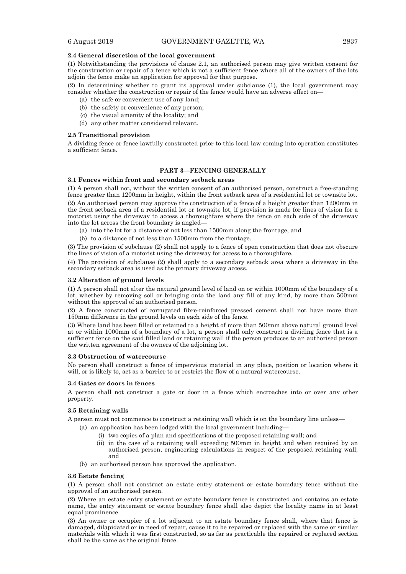#### **2.4 General discretion of the local government**

(1) Notwithstanding the provisions of clause 2.1, an authorised person may give written consent for the construction or repair of a fence which is not a sufficient fence where all of the owners of the lots adjoin the fence make an application for approval for that purpose.

(2) In determining whether to grant its approval under subclause (1), the local government may consider whether the construction or repair of the fence would have an adverse effect on—

- (a) the safe or convenient use of any land;
- (b) the safety or convenience of any person;
- (c) the visual amenity of the locality; and
- (d) any other matter considered relevant.

#### **2.5 Transitional provision**

A dividing fence or fence lawfully constructed prior to this local law coming into operation constitutes a sufficient fence.

## **PART 3—FENCING GENERALLY**

#### **3.1 Fences within front and secondary setback areas**

(1) A person shall not, without the written consent of an authorised person, construct a free-standing fence greater than 1200mm in height, within the front setback area of a residential lot or townsite lot.

(2) An authorised person may approve the construction of a fence of a height greater than 1200mm in the front setback area of a residential lot or townsite lot, if provision is made for lines of vision for a motorist using the driveway to access a thoroughfare where the fence on each side of the driveway into the lot across the front boundary is angled—

- (a) into the lot for a distance of not less than 1500mm along the frontage, and
- (b) to a distance of not less than 1500mm from the frontage.

(3) The provision of subclause (2) shall not apply to a fence of open construction that does not obscure the lines of vision of a motorist using the driveway for access to a thoroughfare.

(4) The provision of subclause (2) shall apply to a secondary setback area where a driveway in the secondary setback area is used as the primary driveway access.

#### **3.2 Alteration of ground levels**

(1) A person shall not alter the natural ground level of land on or within 1000mm of the boundary of a lot, whether by removing soil or bringing onto the land any fill of any kind, by more than 500mm without the approval of an authorised person.

(2) A fence constructed of corrugated fibre-reinforced pressed cement shall not have more than 150mm difference in the ground levels on each side of the fence.

(3) Where land has been filled or retained to a height of more than 500mm above natural ground level at or within 1000mm of a boundary of a lot, a person shall only construct a dividing fence that is a sufficient fence on the said filled land or retaining wall if the person produces to an authorised person the written agreement of the owners of the adjoining lot.

#### **3.3 Obstruction of watercourse**

No person shall construct a fence of impervious material in any place, position or location where it will, or is likely to, act as a barrier to or restrict the flow of a natural watercourse.

#### **3.4 Gates or doors in fences**

A person shall not construct a gate or door in a fence which encroaches into or over any other property.

## **3.5 Retaining walls**

A person must not commence to construct a retaining wall which is on the boundary line unless—

- (a) an application has been lodged with the local government including—
	- (i) two copies of a plan and specifications of the proposed retaining wall; and
	- (ii) in the case of a retaining wall exceeding 500mm in height and when required by an authorised person, engineering calculations in respect of the proposed retaining wall; and
- (b) an authorised person has approved the application.

#### **3.6 Estate fencing**

(1) A person shall not construct an estate entry statement or estate boundary fence without the approval of an authorised person.

(2) Where an estate entry statement or estate boundary fence is constructed and contains an estate name, the entry statement or estate boundary fence shall also depict the locality name in at least equal prominence.

(3) An owner or occupier of a lot adjacent to an estate boundary fence shall, where that fence is damaged, dilapidated or in need of repair, cause it to be repaired or replaced with the same or similar materials with which it was first constructed, so as far as practicable the repaired or replaced section shall be the same as the original fence.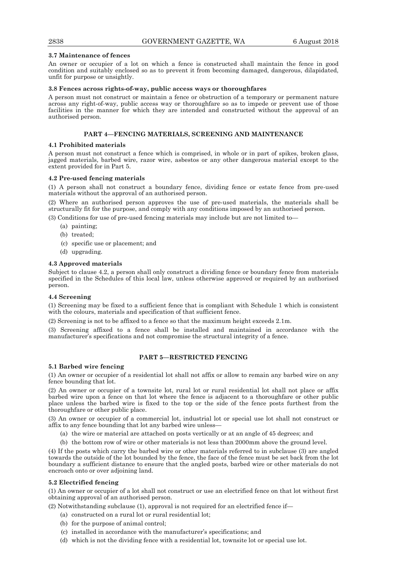#### **3.7 Maintenance of fences**

An owner or occupier of a lot on which a fence is constructed shall maintain the fence in good condition and suitably enclosed so as to prevent it from becoming damaged, dangerous, dilapidated, unfit for purpose or unsightly.

#### **3.8 Fences across rights-of-way, public access ways or thoroughfares**

A person must not construct or maintain a fence or obstruction of a temporary or permanent nature across any right-of-way, public access way or thoroughfare so as to impede or prevent use of those facilities in the manner for which they are intended and constructed without the approval of an authorised person.

## **PART 4—FENCING MATERIALS, SCREENING AND MAINTENANCE**

#### **4.1 Prohibited materials**

A person must not construct a fence which is comprised, in whole or in part of spikes, broken glass, jagged materials, barbed wire, razor wire, asbestos or any other dangerous material except to the extent provided for in Part 5.

#### **4.2 Pre-used fencing materials**

(1) A person shall not construct a boundary fence, dividing fence or estate fence from pre-used materials without the approval of an authorised person.

(2) Where an authorised person approves the use of pre-used materials, the materials shall be structurally fit for the purpose, and comply with any conditions imposed by an authorised person.

(3) Conditions for use of pre-used fencing materials may include but are not limited to—

- (a) painting;
- (b) treated;
- (c) specific use or placement; and
- (d) upgrading.

#### **4.3 Approved materials**

Subject to clause 4.2, a person shall only construct a dividing fence or boundary fence from materials specified in the Schedules of this local law, unless otherwise approved or required by an authorised person.

#### **4.4 Screening**

(1) Screening may be fixed to a sufficient fence that is compliant with Schedule 1 which is consistent with the colours, materials and specification of that sufficient fence.

(2) Screening is not to be affixed to a fence so that the maximum height exceeds 2.1m.

(3) Screening affixed to a fence shall be installed and maintained in accordance with the manufacturer's specifications and not compromise the structural integrity of a fence.

## **PART 5—RESTRICTED FENCING**

#### **5.1 Barbed wire fencing**

(1) An owner or occupier of a residential lot shall not affix or allow to remain any barbed wire on any fence bounding that lot.

(2) An owner or occupier of a townsite lot, rural lot or rural residential lot shall not place or affix barbed wire upon a fence on that lot where the fence is adjacent to a thoroughfare or other public place unless the barbed wire is fixed to the top or the side of the fence posts furthest from the thoroughfare or other public place.

(3) An owner or occupier of a commercial lot, industrial lot or special use lot shall not construct or affix to any fence bounding that lot any barbed wire unless—

- (a) the wire or material are attached on posts vertically or at an angle of 45 degrees; and
- (b) the bottom row of wire or other materials is not less than 2000mm above the ground level.

(4) If the posts which carry the barbed wire or other materials referred to in subclause (3) are angled towards the outside of the lot bounded by the fence, the face of the fence must be set back from the lot boundary a sufficient distance to ensure that the angled posts, barbed wire or other materials do not encroach onto or over adjoining land.

#### **5.2 Electrified fencing**

(1) An owner or occupier of a lot shall not construct or use an electrified fence on that lot without first obtaining approval of an authorised person.

(2) Notwithstanding subclause (1), approval is not required for an electrified fence if—

- (a) constructed on a rural lot or rural residential lot;
- (b) for the purpose of animal control;
- (c) installed in accordance with the manufacturer's specifications; and
- (d) which is not the dividing fence with a residential lot, townsite lot or special use lot.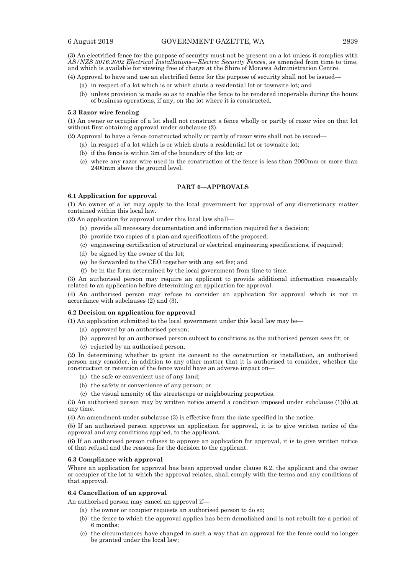(3) An electrified fence for the purpose of security must not be present on a lot unless it complies with *AS/NZS 3016:2002 Electrical Installations—Electric Security Fences*, as amended from time to time, and which is available for viewing free of charge at the Shire of Morawa Administration Centre.

(4) Approval to have and use an electrified fence for the purpose of security shall not be issued—

- (a) in respect of a lot which is or which abuts a residential lot or townsite lot; and
- (b) unless provision is made so as to enable the fence to be rendered inoperable during the hours of business operations, if any, on the lot where it is constructed.

#### **5.3 Razor wire fencing**

(1) An owner or occupier of a lot shall not construct a fence wholly or partly of razor wire on that lot without first obtaining approval under subclause (2).

(2) Approval to have a fence constructed wholly or partly of razor wire shall not be issued—

- (a) in respect of a lot which is or which abuts a residential lot or townsite lot;
- (b) if the fence is within 3m of the boundary of the lot; or
- (c) where any razor wire used in the construction of the fence is less than 2000mm or more than 2400mm above the ground level.

## **PART 6—APPROVALS**

## **6.1 Application for approval**

(1) An owner of a lot may apply to the local government for approval of any discretionary matter contained within this local law.

(2) An application for approval under this local law shall—

- (a) provide all necessary documentation and information required for a decision;
- (b) provide two copies of a plan and specifications of the proposed;
- (c) engineering certification of structural or electrical engineering specifications, if required;
- (d) be signed by the owner of the lot;
- (e) be forwarded to the CEO together with any set fee; and
- (f) be in the form determined by the local government from time to time.

(3) An authorised person may require an applicant to provide additional information reasonably related to an application before determining an application for approval.

(4) An authorised person may refuse to consider an application for approval which is not in accordance with subclauses (2) and (3).

#### **6.2 Decision on application for approval**

- (1) An application submitted to the local government under this local law may be—
	- (a) approved by an authorised person;
	- (b) approved by an authorised person subject to conditions as the authorised person sees fit; or
	- (c) rejected by an authorised person.

(2) In determining whether to grant its consent to the construction or installation, an authorised person may consider, in addition to any other matter that it is authorised to consider, whether the construction or retention of the fence would have an adverse impact on—

- (a) the safe or convenient use of any land;
- (b) the safety or convenience of any person; or
- (c) the visual amenity of the streetscape or neighbouring properties.

(3) An authorised person may by written notice amend a condition imposed under subclause (1)(b) at any time.

(4) An amendment under subclause (3) is effective from the date specified in the notice.

(5) If an authorised person approves an application for approval, it is to give written notice of the approval and any conditions applied, to the applicant.

(6) If an authorised person refuses to approve an application for approval, it is to give written notice of that refusal and the reasons for the decision to the applicant.

#### **6.3 Compliance with approval**

Where an application for approval has been approved under clause 6.2, the applicant and the owner or occupier of the lot to which the approval relates, shall comply with the terms and any conditions of that approval.

#### **6.4 Cancellation of an approval**

An authorised person may cancel an approval if—

- (a) the owner or occupier requests an authorised person to do so;
	- (b) the fence to which the approval applies has been demolished and is not rebuilt for a period of 6 months;
	- (c) the circumstances have changed in such a way that an approval for the fence could no longer be granted under the local law;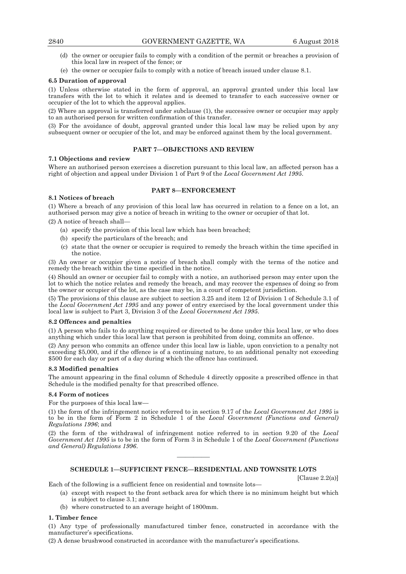## 2840 GOVERNMENT GAZETTE, WA 6 August 2018

- (d) the owner or occupier fails to comply with a condition of the permit or breaches a provision of this local law in respect of the fence; or
- (e) the owner or occupier fails to comply with a notice of breach issued under clause 8.1.

## **6.5 Duration of approval**

(1) Unless otherwise stated in the form of approval, an approval granted under this local law transfers with the lot to which it relates and is deemed to transfer to each successive owner or occupier of the lot to which the approval applies.

(2) Where an approval is transferred under subclause (1), the successive owner or occupier may apply to an authorised person for written confirmation of this transfer.

(3) For the avoidance of doubt, approval granted under this local law may be relied upon by any subsequent owner or occupier of the lot, and may be enforced against them by the local government.

## **PART 7—OBJECTIONS AND REVIEW**

## **7.1 Objections and review**

Where an authorised person exercises a discretion pursuant to this local law, an affected person has a right of objection and appeal under Division 1 of Part 9 of the *Local Government Act 1995*.

## **PART 8—ENFORCEMENT**

## **8.1 Notices of breach**

(1) Where a breach of any provision of this local law has occurred in relation to a fence on a lot, an authorised person may give a notice of breach in writing to the owner or occupier of that lot.

(2) A notice of breach shall—

- (a) specify the provision of this local law which has been breached;
- (b) specify the particulars of the breach; and
- (c) state that the owner or occupier is required to remedy the breach within the time specified in the notice.

(3) An owner or occupier given a notice of breach shall comply with the terms of the notice and remedy the breach within the time specified in the notice.

(4) Should an owner or occupier fail to comply with a notice, an authorised person may enter upon the lot to which the notice relates and remedy the breach, and may recover the expenses of doing so from the owner or occupier of the lot, as the case may be, in a court of competent jurisdiction.

(5) The provisions of this clause are subject to section 3.25 and item 12 of Division 1 of Schedule 3.1 of the *Local Government Act 1995* and any power of entry exercised by the local government under this local law is subject to Part 3, Division 3 of the *Local Government Act 1995*.

## **8.2 Offences and penalties**

(1) A person who fails to do anything required or directed to be done under this local law, or who does anything which under this local law that person is prohibited from doing, commits an offence.

(2) Any person who commits an offence under this local law is liable, upon conviction to a penalty not exceeding \$5,000, and if the offence is of a continuing nature, to an additional penalty not exceeding \$500 for each day or part of a day during which the offence has continued.

## **8.3 Modified penalties**

The amount appearing in the final column of Schedule 4 directly opposite a prescribed offence in that Schedule is the modified penalty for that prescribed offence.

## **8.4 Form of notices**

For the purposes of this local law—

(1) the form of the infringement notice referred to in section 9.17 of the *Local Government Act 1995* is to be in the form of Form 2 in Schedule 1 of the *Local Government (Functions and General) Regulations 1996*; and

(2) the form of the withdrawal of infringement notice referred to in section 9.20 of the *Local Government Act 1995* is to be in the form of Form 3 in Schedule 1 of the *Local Government (Functions and General) Regulations 1996*.

## ———— **SCHEDULE 1—SUFFICIENT FENCE—RESIDENTIAL AND TOWNSITE LOTS**

[Clause 2.2(a)]

Each of the following is a sufficient fence on residential and townsite lots—

- (a) except with respect to the front setback area for which there is no minimum height but which is subject to clause 3.1; and
- (b) where constructed to an average height of 1800mm.

## **1. Timber fence**

(1) Any type of professionally manufactured timber fence, constructed in accordance with the manufacturer's specifications.

(2) A dense brushwood constructed in accordance with the manufacturer's specifications.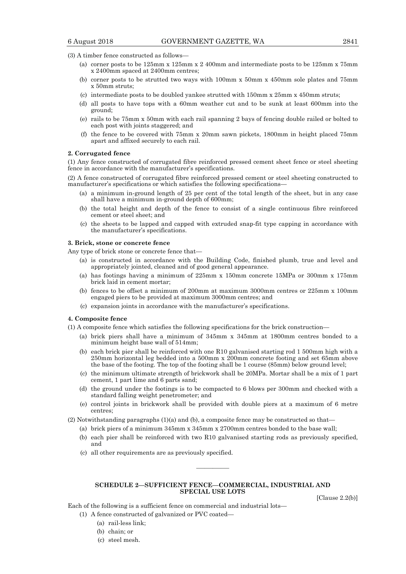(3) A timber fence constructed as follows—

- (a) corner posts to be 125mm x 125mm x 2 400mm and intermediate posts to be 125mm x 75mm x 2400mm spaced at 2400mm centres;
- (b) corner posts to be strutted two ways with 100mm x 50mm x 450mm sole plates and 75mm x 50mm struts;
- (c) intermediate posts to be doubled yankee strutted with 150mm x 25mm x 450mm struts;
- (d) all posts to have tops with a 60mm weather cut and to be sunk at least 600mm into the ground;
- (e) rails to be 75mm x 50mm with each rail spanning 2 bays of fencing double railed or bolted to each post with joints staggered; and
- (f) the fence to be covered with 75mm x 20mm sawn pickets, 1800mm in height placed 75mm apart and affixed securely to each rail.

#### **2. Corrugated fence**

(1) Any fence constructed of corrugated fibre reinforced pressed cement sheet fence or steel sheeting fence in accordance with the manufacturer's specifications.

(2) A fence constructed of corrugated fibre reinforced pressed cement or steel sheeting constructed to manufacturer's specifications or which satisfies the following specifications—

- (a) a minimum in-ground length of 25 per cent of the total length of the sheet, but in any case shall have a minimum in-ground depth of 600mm;
- (b) the total height and depth of the fence to consist of a single continuous fibre reinforced cement or steel sheet; and
- (c) the sheets to be lapped and capped with extruded snap-fit type capping in accordance with the manufacturer's specifications.

#### **3. Brick, stone or concrete fence**

Any type of brick stone or concrete fence that—

- (a) is constructed in accordance with the Building Code, finished plumb, true and level and appropriately jointed, cleaned and of good general appearance.
- (a) has footings having a minimum of 225mm x 150mm concrete 15MPa or 300mm x 175mm brick laid in cement mortar;
- (b) fences to be offset a minimum of 200mm at maximum 3000mm centres or 225mm x 100mm engaged piers to be provided at maximum 3000mm centres; and
- (c) expansion joints in accordance with the manufacturer's specifications.

#### **4. Composite fence**

(1) A composite fence which satisfies the following specifications for the brick construction—

- (a) brick piers shall have a minimum of 345mm x 345mm at 1800mm centres bonded to a minimum height base wall of 514mm;
- (b) each brick pier shall be reinforced with one R10 galvanised starting rod 1 500mm high with a 250mm horizontal leg bedded into a 500mm x 200mm concrete footing and set 65mm above the base of the footing. The top of the footing shall be 1 course (85mm) below ground level;
- (c) the minimum ultimate strength of brickwork shall be 20MPa. Mortar shall be a mix of 1 part cement, 1 part lime and 6 parts sand;
- (d) the ground under the footings is to be compacted to 6 blows per 300mm and checked with a standard falling weight penetrometer; and
- (e) control joints in brickwork shall be provided with double piers at a maximum of 6 metre centres;
- (2) Notwithstanding paragraphs (1)(a) and (b), a composite fence may be constructed so that—
	- (a) brick piers of a minimum 345mm x 345mm x 2700mm centres bonded to the base wall;
	- (b) each pier shall be reinforced with two R10 galvanised starting rods as previously specified, and
	- (c) all other requirements are as previously specified.

## **SCHEDULE 2—SUFFICIENT FENCE—COMMERCIAL, INDUSTRIAL AND SPECIAL USE LOTS**

————

[Clause 2.2(b)]

Each of the following is a sufficient fence on commercial and industrial lots—

(1) A fence constructed of galvanized or PVC coated—

- (a) rail-less link;
	- (b) chain; or
	- (c) steel mesh.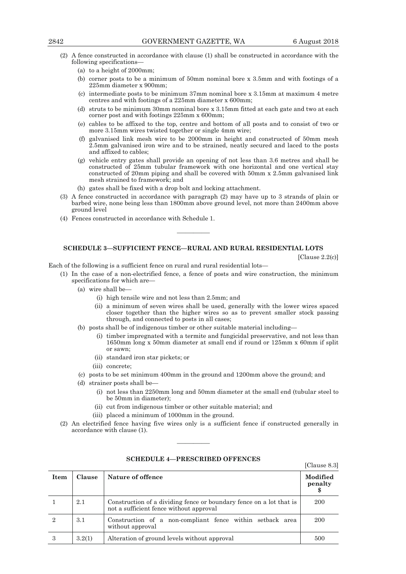- (2) A fence constructed in accordance with clause (1) shall be constructed in accordance with the following specifications—
	- (a) to a height of 2000mm;
	- (b) corner posts to be a minimum of 50mm nominal bore x 3.5mm and with footings of a 225mm diameter x 900mm;
	- (c) intermediate posts to be minimum 37mm nominal bore x 3.15mm at maximum 4 metre centres and with footings of a 225mm diameter x 600mm;
	- (d) struts to be minimum 30mm nominal bore x 3.15mm fitted at each gate and two at each corner post and with footings 225mm x 600mm;
	- (e) cables to be affixed to the top, centre and bottom of all posts and to consist of two or more 3.15mm wires twisted together or single 4mm wire;
	- (f) galvanised link mesh wire to be 2000mm in height and constructed of 50mm mesh 2.5mm galvanised iron wire and to be strained, neatly secured and laced to the posts and affixed to cables;
	- (g) vehicle entry gates shall provide an opening of not less than 3.6 metres and shall be constructed of 25mm tubular framework with one horizontal and one vertical stay constructed of 20mm piping and shall be covered with 50mm x 2.5mm galvanised link mesh strained to framework; and
	- (h) gates shall be fixed with a drop bolt and locking attachment.
- (3) A fence constructed in accordance with paragraph (2) may have up to 3 strands of plain or barbed wire, none being less than 1800mm above ground level, not more than 2400mm above ground level
- (4) Fences constructed in accordance with Schedule 1.

#### **SCHEDULE 3—SUFFICIENT FENCE—RURAL AND RURAL RESIDENTIAL LOTS**

————

[Clause 2.2(c)]

[Clause 8.3]

Each of the following is a sufficient fence on rural and rural residential lots—

- (1) In the case of a non-electrified fence, a fence of posts and wire construction, the minimum specifications for which are—
	- (a) wire shall be—
		- (i) high tensile wire and not less than 2.5mm; and
		- (ii) a minimum of seven wires shall be used, generally with the lower wires spaced closer together than the higher wires so as to prevent smaller stock passing through, and connected to posts in all cases;
	- (b) posts shall be of indigenous timber or other suitable material including—
		- (i) timber impregnated with a termite and fungicidal preservative, and not less than 1650mm long x 50mm diameter at small end if round or 125mm x 60mm if split or sawn;
		- (ii) standard iron star pickets; or
		- (iii) concrete;
	- (c) posts to be set minimum 400mm in the ground and 1200mm above the ground; and
	- (d) strainer posts shall be—
		- (i) not less than 2250mm long and 50mm diameter at the small end (tubular steel to be 50mm in diameter);
		- (ii) cut from indigenous timber or other suitable material; and
		- (iii) placed a minimum of 1000mm in the ground.
- (2) An electrified fence having five wires only is a sufficient fence if constructed generally in accordance with clause (1).

| Item           | Clause | Nature of offence                                                                                              | Modified<br>penalty |
|----------------|--------|----------------------------------------------------------------------------------------------------------------|---------------------|
|                | 2.1    | Construction of a dividing fence or boundary fence on a lot that is<br>not a sufficient fence without approval | 200                 |
| $\overline{2}$ | 3.1    | Construction of a non-compliant fence within setback area<br>without approval                                  | 200                 |
| 3              | 3.2(1) | Alteration of ground levels without approval                                                                   | 500                 |

## **SCHEDULE 4—PRESCRIBED OFFENCES**

————